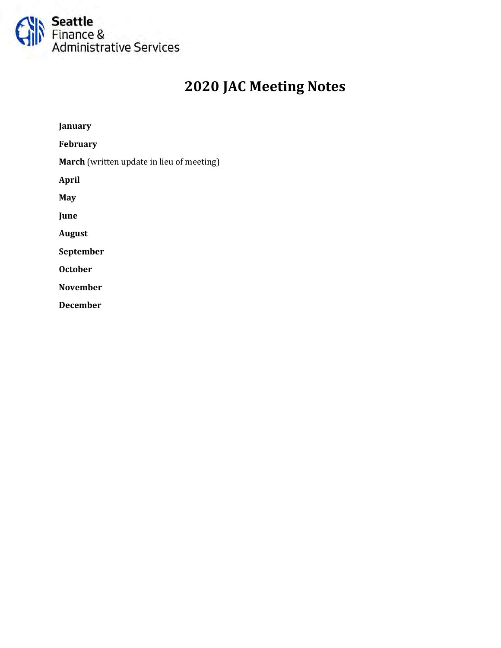

| January                                   |
|-------------------------------------------|
| <b>February</b>                           |
| March (written update in lieu of meeting) |
| <b>April</b>                              |
| <b>May</b>                                |
| June                                      |
| <b>August</b>                             |
| September                                 |
| <b>October</b>                            |
| <b>November</b>                           |
| <b>December</b>                           |
|                                           |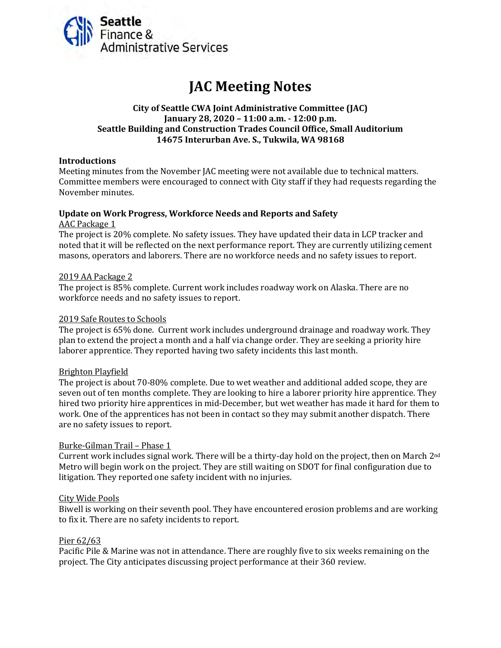<span id="page-1-0"></span>

#### **City of Seattle CWA Joint Administrative Committee (JAC) January 28, 2020 – 11:00 a.m. - 12:00 p.m. Seattle Building and Construction Trades Council Office, Small Auditorium 14675 Interurban Ave. S., Tukwila, WA 98168**

#### **Introductions**

Meeting minutes from the November JAC meeting were not available due to technical matters. Committee members were encouraged to connect with City staff if they had requests regarding the November minutes.

#### **Update on Work Progress, Workforce Needs and Reports and Safety** AAC Package 1

The project is 20% complete. No safety issues. They have updated their data in LCP tracker and noted that it will be reflected on the next performance report. They are currently utilizing cement masons, operators and laborers. There are no workforce needs and no safety issues to report.

#### 2019 AA Package 2

The project is 85% complete. Current work includes roadway work on Alaska. There are no workforce needs and no safety issues to report.

#### 2019 Safe Routes to Schools

The project is 65% done. Current work includes underground drainage and roadway work. They plan to extend the project a month and a half via change order. They are seeking a priority hire laborer apprentice. They reported having two safety incidents this last month.

#### Brighton Playfield

The project is about 70-80% complete. Due to wet weather and additional added scope, they are seven out of ten months complete. They are looking to hire a laborer priority hire apprentice. They hired two priority hire apprentices in mid-December, but wet weather has made it hard for them to work. One of the apprentices has not been in contact so they may submit another dispatch. There are no safety issues to report.

#### Burke-Gilman Trail – Phase 1

Current work includes signal work. There will be a thirty-day hold on the project, then on March 2nd Metro will begin work on the project. They are still waiting on SDOT for final configuration due to litigation. They reported one safety incident with no injuries.

#### City Wide Pools

Biwell is working on their seventh pool. They have encountered erosion problems and are working to fix it. There are no safety incidents to report.

#### Pier 62/63

Pacific Pile & Marine was not in attendance. There are roughly five to six weeks remaining on the project. The City anticipates discussing project performance at their 360 review.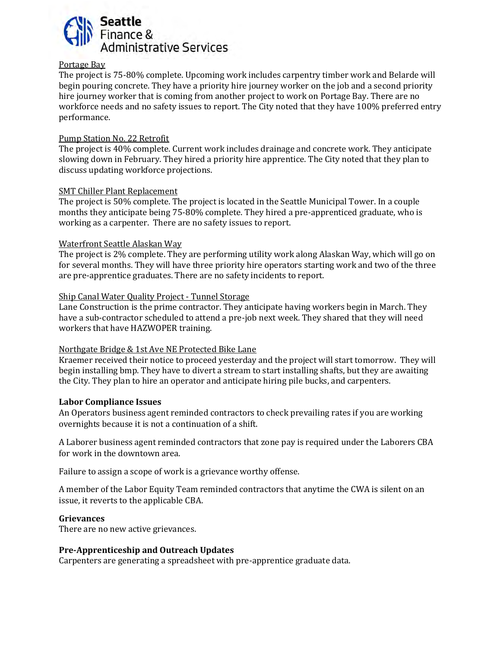

#### Portage Bay

The project is 75-80% complete. Upcoming work includes carpentry timber work and Belarde will begin pouring concrete. They have a priority hire journey worker on the job and a second priority hire journey worker that is coming from another project to work on Portage Bay. There are no workforce needs and no safety issues to report. The City noted that they have 100% preferred entry performance.

#### Pump Station No. 22 Retrofit

The project is 40% complete. Current work includes drainage and concrete work. They anticipate slowing down in February. They hired a priority hire apprentice. The City noted that they plan to discuss updating workforce projections.

#### SMT Chiller Plant Replacement

The project is 50% complete. The project is located in the Seattle Municipal Tower. In a couple months they anticipate being 75-80% complete. They hired a pre-apprenticed graduate, who is working as a carpenter. There are no safety issues to report.

#### Waterfront Seattle Alaskan Way

The project is 2% complete. They are performing utility work along Alaskan Way, which will go on for several months. They will have three priority hire operators starting work and two of the three are pre-apprentice graduates. There are no safety incidents to report.

#### Ship Canal Water Quality Project - Tunnel Storage

Lane Construction is the prime contractor. They anticipate having workers begin in March. They have a sub-contractor scheduled to attend a pre-job next week. They shared that they will need workers that have HAZWOPER training.

#### Northgate Bridge & 1st Ave NE Protected Bike Lane

Kraemer received their notice to proceed yesterday and the project will start tomorrow. They will begin installing bmp. They have to divert a stream to start installing shafts, but they are awaiting the City. They plan to hire an operator and anticipate hiring pile bucks, and carpenters.

#### **Labor Compliance Issues**

An Operators business agent reminded contractors to check prevailing rates if you are working overnights because it is not a continuation of a shift.

A Laborer business agent reminded contractors that zone pay is required under the Laborers CBA for work in the downtown area.

Failure to assign a scope of work is a grievance worthy offense.

A member of the Labor Equity Team reminded contractors that anytime the CWA is silent on an issue, it reverts to the applicable CBA.

#### **Grievances**

There are no new active grievances.

#### **Pre-Apprenticeship and Outreach Updates**

Carpenters are generating a spreadsheet with pre-apprentice graduate data.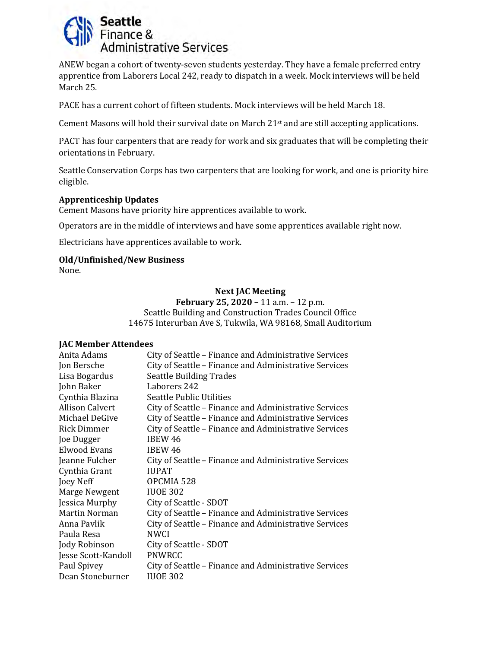

ANEW began a cohort of twenty-seven students yesterday. They have a female preferred entry apprentice from Laborers Local 242, ready to dispatch in a week. Mock interviews will be held March 25.

PACE has a current cohort of fifteen students. Mock interviews will be held March 18.

Cement Masons will hold their survival date on March 21st and are still accepting applications.

PACT has four carpenters that are ready for work and six graduates that will be completing their orientations in February.

Seattle Conservation Corps has two carpenters that are looking for work, and one is priority hire eligible.

#### **Apprenticeship Updates**

Cement Masons have priority hire apprentices available to work.

Operators are in the middle of interviews and have some apprentices available right now.

Electricians have apprentices available to work.

#### **Old/Unfinished/New Business**

None.

#### **Next JAC Meeting**

**February 25, 2020 –** 11 a.m. – 12 p.m. Seattle Building and Construction Trades Council Office 14675 Interurban Ave S, Tukwila, WA 98168, Small Auditorium

#### **JAC Member Attendees**

| City of Seattle – Finance and Administrative Services |
|-------------------------------------------------------|
| City of Seattle - Finance and Administrative Services |
| <b>Seattle Building Trades</b>                        |
| Laborers 242                                          |
| Seattle Public Utilities                              |
| City of Seattle - Finance and Administrative Services |
| City of Seattle – Finance and Administrative Services |
| City of Seattle - Finance and Administrative Services |
| <b>IBEW 46</b>                                        |
| <b>IBEW 46</b>                                        |
| City of Seattle - Finance and Administrative Services |
| <b>IUPAT</b>                                          |
| OPCMIA 528                                            |
| <b>IUOE 302</b>                                       |
| City of Seattle - SDOT                                |
| City of Seattle - Finance and Administrative Services |
| City of Seattle - Finance and Administrative Services |
| <b>NWCI</b>                                           |
| City of Seattle - SDOT                                |
| <b>PNWRCC</b>                                         |
| City of Seattle - Finance and Administrative Services |
| <b>IUOE 302</b>                                       |
|                                                       |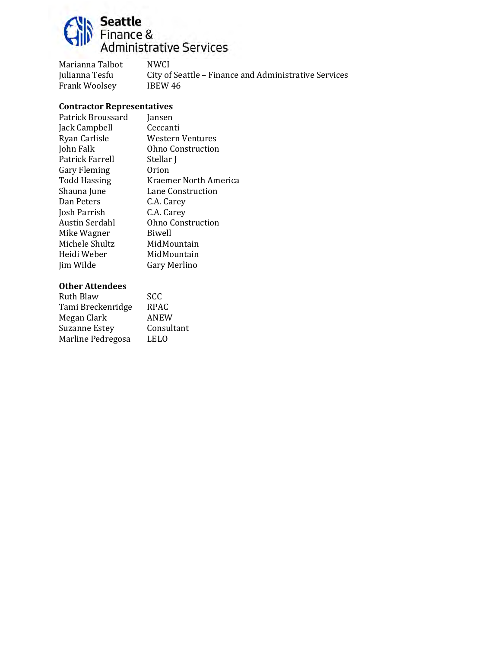

Marianna Talbot NWCI<br>Julianna Tesfu City of City of Seattle – Finance and Administrative Services<br>IBEW  $46\,$ Frank Woolsey

## **Contractor Representatives**

| Patrick Broussard   | Jansen                |
|---------------------|-----------------------|
| Jack Campbell       | Ceccanti              |
| Ryan Carlisle       | Western Ventures      |
| John Falk           | Ohno Construction     |
| Patrick Farrell     | Stellar J             |
| <b>Gary Fleming</b> | Orion                 |
| <b>Todd Hassing</b> | Kraemer North America |
| Shauna June         | Lane Construction     |
| Dan Peters          | C.A. Carey            |
| Josh Parrish        | C.A. Carey            |
| Austin Serdahl      | Ohno Construction     |
| Mike Wagner         | <b>Biwell</b>         |
| Michele Shultz      | MidMountain           |
| Heidi Weber         | MidMountain           |
| Jim Wilde           | Gary Merlino          |
|                     |                       |

| Ruth Blaw            | <b>SCC</b> |
|----------------------|------------|
| Tami Breckenridge    | RPAC       |
| Megan Clark          | ANEW       |
| <b>Suzanne Estey</b> | Consultant |
| Marline Pedregosa    | LELO       |
|                      |            |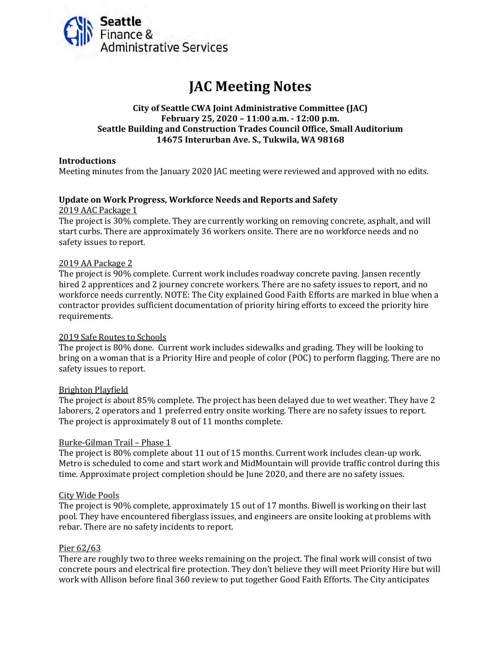<span id="page-5-0"></span>

#### **City of Seattle CWA Joint Administrative Committee (JAC) February 25, 2020 – 11:00 a.m. - 12:00 p.m. Seattle Building and Construction Trades Council Office, Small Auditorium 14675 Interurban Ave. S., Tukwila, WA 98168**

#### **Introductions**

Meeting minutes from the January 2020 JAC meeting were reviewed and approved with no edits.

## **Update on Work Progress, Workforce Needs and Reports and Safety**

#### 2019 AAC Package 1

The project is 30% complete. They are currently working on removing concrete, asphalt, and will start curbs. There are approximately 36 workers onsite. There are no workforce needs and no safety issues to report.

#### 2019 AA Package 2

The project is 90% complete. Current work includes roadway concrete paving. Jansen recently hired 2 apprentices and 2 journey concrete workers. There are no safety issues to report, and no workforce needs currently. NOTE: The City explained Good Faith Efforts are marked in blue when a contractor provides sufficient documentation of priority hiring efforts to exceed the priority hire requirements.

#### 2019 Safe Routes to Schools

The project is 80% done. Current work includes sidewalks and grading. They will be looking to bring on a woman that is a Priority Hire and people of color (POC) to perform flagging. There are no safety issues to report.

#### Brighton Playfield

The project is about 85% complete. The project has been delayed due to wet weather. They have 2 laborers, 2 operators and 1 preferred entry onsite working. There are no safety issues to report. The project is approximately 8 out of 11 months complete.

#### Burke-Gilman Trail – Phase 1

The project is 80% complete about 11 out of 15 months. Current work includes clean-up work. Metro is scheduled to come and start work and MidMountain will provide traffic control during this time. Approximate project completion should be June 2020, and there are no safety issues.

#### City Wide Pools

The project is 90% complete, approximately 15 out of 17 months. Biwell is working on their last pool. They have encountered fiberglass issues, and engineers are onsite looking at problems with rebar. There are no safety incidents to report.

#### Pier 62/63

There are roughly two to three weeks remaining on the project. The final work will consist of two concrete pours and electrical fire protection. They don't believe they will meet Priority Hire but will work with Allison before final 360 review to put together Good Faith Efforts. The City anticipates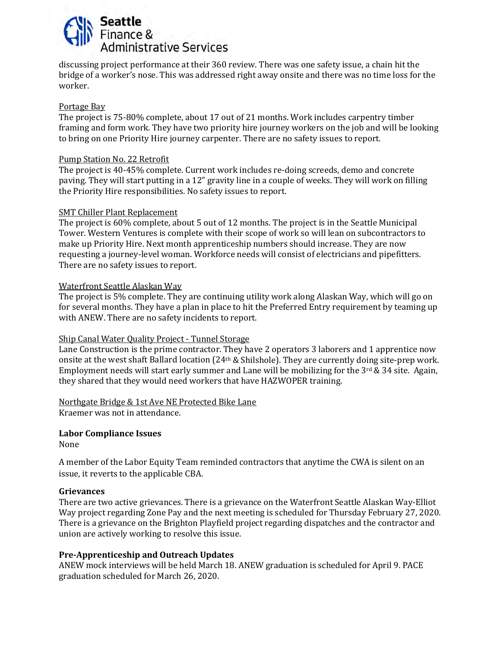

discussing project performance at their 360 review. There was one safety issue, a chain hit the bridge of a worker's nose. This was addressed right away onsite and there was no time loss for the worker.

#### Portage Bay

The project is 75-80% complete, about 17 out of 21 months. Work includes carpentry timber framing and form work. They have two priority hire journey workers on the job and will be looking to bring on one Priority Hire journey carpenter. There are no safety issues to report.

#### Pump Station No. 22 Retrofit

The project is 40-45% complete. Current work includes re-doing screeds, demo and concrete paving. They will start putting in a 12" gravity line in a couple of weeks. They will work on filling the Priority Hire responsibilities. No safety issues to report.

#### SMT Chiller Plant Replacement

The project is 60% complete, about 5 out of 12 months. The project is in the Seattle Municipal Tower. Western Ventures is complete with their scope of work so will lean on subcontractors to make up Priority Hire. Next month apprenticeship numbers should increase. They are now requesting a journey-level woman. Workforce needs will consist of electricians and pipefitters. There are no safety issues to report.

#### Waterfront Seattle Alaskan Way

The project is 5% complete. They are continuing utility work along Alaskan Way, which will go on for several months. They have a plan in place to hit the Preferred Entry requirement by teaming up with ANEW. There are no safety incidents to report.

#### Ship Canal Water Quality Project - Tunnel Storage

Lane Construction is the prime contractor. They have 2 operators 3 laborers and 1 apprentice now onsite at the west shaft Ballard location (24th & Shilshole). They are currently doing site-prep work. Employment needs will start early summer and Lane will be mobilizing for the  $3rd \& 34$  site. Again, they shared that they would need workers that have HAZWOPER training.

#### Northgate Bridge & 1st Ave NE Protected Bike Lane

Kraemer was not in attendance.

#### **Labor Compliance Issues**

None

A member of the Labor Equity Team reminded contractors that anytime the CWA is silent on an issue, it reverts to the applicable CBA.

#### **Grievances**

There are two active grievances. There is a grievance on the Waterfront Seattle Alaskan Way-Elliot Way project regarding Zone Pay and the next meeting is scheduled for Thursday February 27, 2020. There is a grievance on the Brighton Playfield project regarding dispatches and the contractor and union are actively working to resolve this issue.

#### **Pre-Apprenticeship and Outreach Updates**

ANEW mock interviews will be held March 18. ANEW graduation is scheduled for April 9. PACE graduation scheduled for March 26, 2020.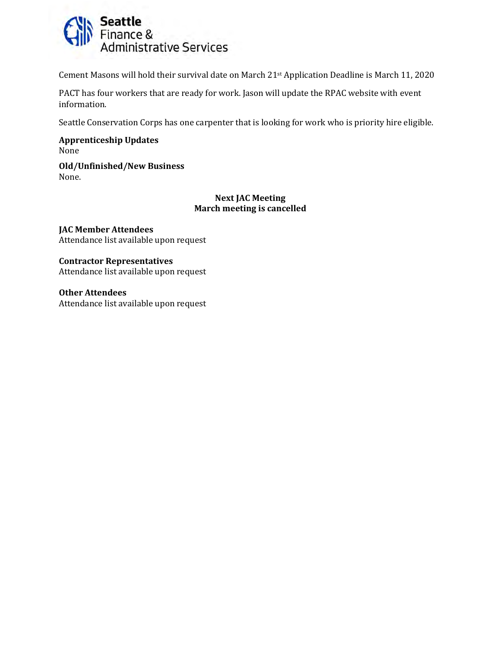

Cement Masons will hold their survival date on March 21st Application Deadline is March 11, 2020

PACT has four workers that are ready for work. Jason will update the RPAC website with event information.

Seattle Conservation Corps has one carpenter that is looking for work who is priority hire eligible.

**Apprenticeship Updates** None

**Old/Unfinished/New Business** None.

#### **Next JAC Meeting March meeting is cancelled**

**JAC Member Attendees** Attendance list available upon request

**Contractor Representatives** Attendance list available upon request

**Other Attendees** Attendance list available upon request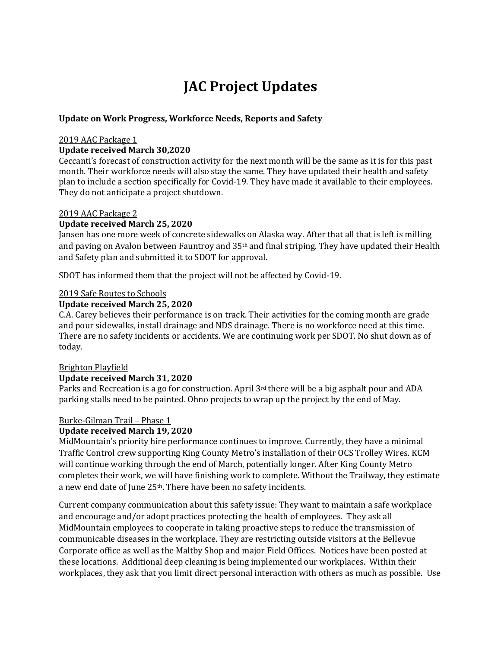# **JAC Project Updates**

#### <span id="page-8-0"></span>**Update on Work Progress, Workforce Needs, Reports and Safety**

#### 2019 AAC Package 1

#### **Update received March 30,2020**

Ceccanti's forecast of construction activity for the next month will be the same as it is for this past month. Their workforce needs will also stay the same. They have updated their health and safety plan to include a section specifically for Covid-19. They have made it available to their employees. They do not anticipate a project shutdown.

#### 2019 AAC Package 2

#### **Update received March 25, 2020**

Jansen has one more week of concrete sidewalks on Alaska way. After that all that is left is milling and paving on Avalon between Fauntroy and  $35<sup>th</sup>$  and final striping. They have updated their Health and Safety plan and submitted it to SDOT for approval.

SDOT has informed them that the project will not be affected by Covid-19.

#### 2019 Safe Routes to Schools

#### **Update received March 25, 2020**

C.A. Carey believes their performance is on track. Their activities for the coming month are grade and pour sidewalks, install drainage and NDS drainage. There is no workforce need at this time. There are no safety incidents or accidents. We are continuing work per SDOT. No shut down as of today.

#### Brighton Playfield

#### **Update received March 31, 2020**

Parks and Recreation is a go for construction. April  $3<sup>rd</sup>$  there will be a big asphalt pour and ADA parking stalls need to be painted. Ohno projects to wrap up the project by the end of May.

#### Burke-Gilman Trail – Phase 1

#### **Update received March 19, 2020**

MidMountain's priority hire performance continues to improve. Currently, they have a minimal Traffic Control crew supporting King County Metro's installation of their OCS Trolley Wires. KCM will continue working through the end of March, potentially longer. After King County Metro completes their work, we will have finishing work to complete. Without the Trailway, they estimate a new end date of June 25th. There have been no safety incidents.

Current company communication about this safety issue: They want to maintain a safe workplace and encourage and/or adopt practices protecting the health of employees. They ask all MidMountain employees to cooperate in taking proactive steps to reduce the transmission of communicable diseases in the workplace. They are restricting outside visitors at the Bellevue Corporate office as well as the Maltby Shop and major Field Offices. Notices have been posted at these locations. Additional deep cleaning is being implemented our workplaces. Within their workplaces, they ask that you limit direct personal interaction with others as much as possible. Use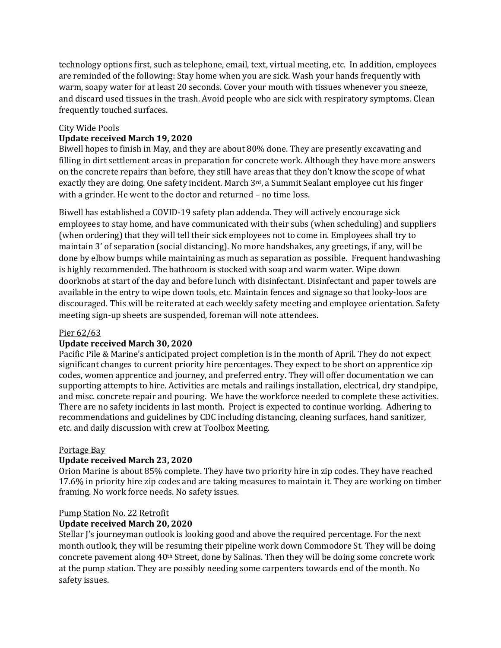technology options first, such as telephone, email, text, virtual meeting, etc. In addition, employees are reminded of the following: Stay home when you are sick. Wash your hands frequently with warm, soapy water for at least 20 seconds. Cover your mouth with tissues whenever you sneeze, and discard used tissues in the trash. Avoid people who are sick with respiratory symptoms. Clean frequently touched surfaces.

#### City Wide Pools

#### **Update received March 19, 2020**

Biwell hopes to finish in May, and they are about 80% done. They are presently excavating and filling in dirt settlement areas in preparation for concrete work. Although they have more answers on the concrete repairs than before, they still have areas that they don't know the scope of what exactly they are doing. One safety incident. March 3rd, a Summit Sealant employee cut his finger with a grinder. He went to the doctor and returned – no time loss.

Biwell has established a COVID-19 safety plan addenda. They will actively encourage sick employees to stay home, and have communicated with their subs (when scheduling) and suppliers (when ordering) that they will tell their sick employees not to come in. Employees shall try to maintain 3' of separation (social distancing). No more handshakes, any greetings, if any, will be done by elbow bumps while maintaining as much as separation as possible. Frequent handwashing is highly recommended. The bathroom is stocked with soap and warm water. Wipe down doorknobs at start of the day and before lunch with disinfectant. Disinfectant and paper towels are available in the entry to wipe down tools, etc. Maintain fences and signage so that looky-loos are discouraged. This will be reiterated at each weekly safety meeting and employee orientation. Safety meeting sign-up sheets are suspended, foreman will note attendees.

#### Pier 62/63

#### **Update received March 30, 2020**

Pacific Pile & Marine's anticipated project completion is in the month of April. They do not expect significant changes to current priority hire percentages. They expect to be short on apprentice zip codes, women apprentice and journey, and preferred entry. They will offer documentation we can supporting attempts to hire. Activities are metals and railings installation, electrical, dry standpipe, and misc. concrete repair and pouring. We have the workforce needed to complete these activities. There are no safety incidents in last month. Project is expected to continue working. Adhering to recommendations and guidelines by CDC including distancing, cleaning surfaces, hand sanitizer, etc. and daily discussion with crew at Toolbox Meeting.

#### Portage Bay

#### **Update received March 23, 2020**

Orion Marine is about 85% complete. They have two priority hire in zip codes. They have reached 17.6% in priority hire zip codes and are taking measures to maintain it. They are working on timber framing. No work force needs. No safety issues.

#### Pump Station No. 22 Retrofit

#### **Update received March 20, 2020**

Stellar J's journeyman outlook is looking good and above the required percentage. For the next month outlook, they will be resuming their pipeline work down Commodore St. They will be doing concrete pavement along 40th Street, done by Salinas. Then they will be doing some concrete work at the pump station. They are possibly needing some carpenters towards end of the month. No safety issues.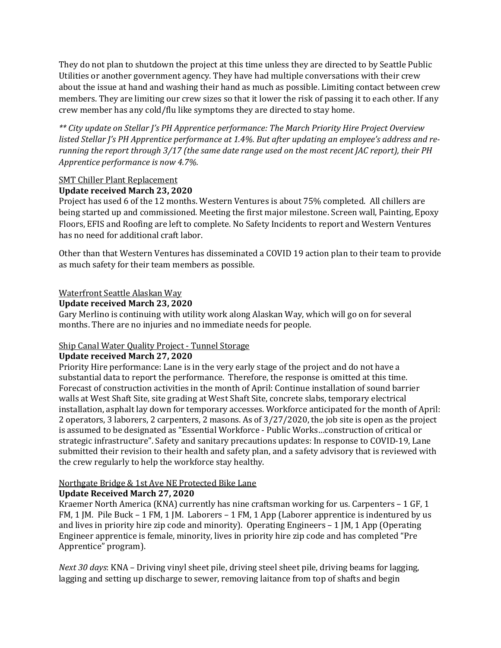They do not plan to shutdown the project at this time unless they are directed to by Seattle Public Utilities or another government agency. They have had multiple conversations with their crew about the issue at hand and washing their hand as much as possible. Limiting contact between crew members. They are limiting our crew sizes so that it lower the risk of passing it to each other. If any crew member has any cold/flu like symptoms they are directed to stay home.

*\*\* City update on Stellar J's PH Apprentice performance: The March Priority Hire Project Overview listed Stellar J's PH Apprentice performance at 1.4%. But after updating an employee's address and rerunning the report through 3/17 (the same date range used on the most recent JAC report), their PH Apprentice performance is now 4.7%.* 

#### SMT Chiller Plant Replacement

#### **Update received March 23, 2020**

Project has used 6 of the 12 months. Western Ventures is about 75% completed. All chillers are being started up and commissioned. Meeting the first major milestone. Screen wall, Painting, Epoxy Floors, EFIS and Roofing are left to complete. No Safety Incidents to report and Western Ventures has no need for additional craft labor.

Other than that Western Ventures has disseminated a COVID 19 action plan to their team to provide as much safety for their team members as possible.

#### Waterfront Seattle Alaskan Way

#### **Update received March 23, 2020**

Gary Merlino is continuing with utility work along Alaskan Way, which will go on for several months. There are no injuries and no immediate needs for people.

#### Ship Canal Water Quality Project - Tunnel Storage

#### **Update received March 27, 2020**

Priority Hire performance: Lane is in the very early stage of the project and do not have a substantial data to report the performance. Therefore, the response is omitted at this time. Forecast of construction activities in the month of April: Continue installation of sound barrier walls at West Shaft Site, site grading at West Shaft Site, concrete slabs, temporary electrical installation, asphalt lay down for temporary accesses. Workforce anticipated for the month of April: 2 operators, 3 laborers, 2 carpenters, 2 masons. As of 3/27/2020, the job site is open as the project is assumed to be designated as "Essential Workforce - Public Works…construction of critical or strategic infrastructure". Safety and sanitary precautions updates: In response to COVID-19, Lane submitted their revision to their health and safety plan, and a safety advisory that is reviewed with the crew regularly to help the workforce stay healthy.

#### Northgate Bridge & 1st Ave NE Protected Bike Lane

#### **Update Received March 27, 2020**

Kraemer North America (KNA) currently has nine craftsman working for us. Carpenters – 1 GF, 1 FM, 1 JM. Pile Buck – 1 FM, 1 JM. Laborers – 1 FM, 1 App (Laborer apprentice is indentured by us and lives in priority hire zip code and minority). Operating Engineers – 1 JM, 1 App (Operating Engineer apprentice is female, minority, lives in priority hire zip code and has completed "Pre Apprentice" program).

*Next 30 days*: KNA – Driving vinyl sheet pile, driving steel sheet pile, driving beams for lagging, lagging and setting up discharge to sewer, removing laitance from top of shafts and begin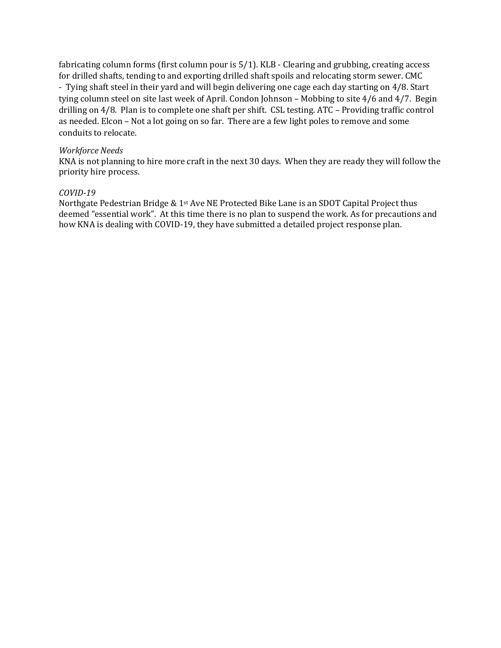fabricating column forms (first column pour is 5/1). KLB - Clearing and grubbing, creating access for drilled shafts, tending to and exporting drilled shaft spoils and relocating storm sewer. CMC - Tying shaft steel in their yard and will begin delivering one cage each day starting on 4/8. Start tying column steel on site last week of April. Condon Johnson – Mobbing to site 4/6 and 4/7. Begin drilling on 4/8. Plan is to complete one shaft per shift. CSL testing. ATC – Providing traffic control as needed. Elcon – Not a lot going on so far. There are a few light poles to remove and some conduits to relocate.

#### *Workforce Needs*

KNA is not planning to hire more craft in the next 30 days. When they are ready they will follow the priority hire process.

#### *COVID-19*

Northgate Pedestrian Bridge & 1st Ave NE Protected Bike Lane is an SDOT Capital Project thus deemed "essential work". At this time there is no plan to suspend the work. As for precautions and how KNA is dealing with COVID-19, they have submitted a detailed project response plan.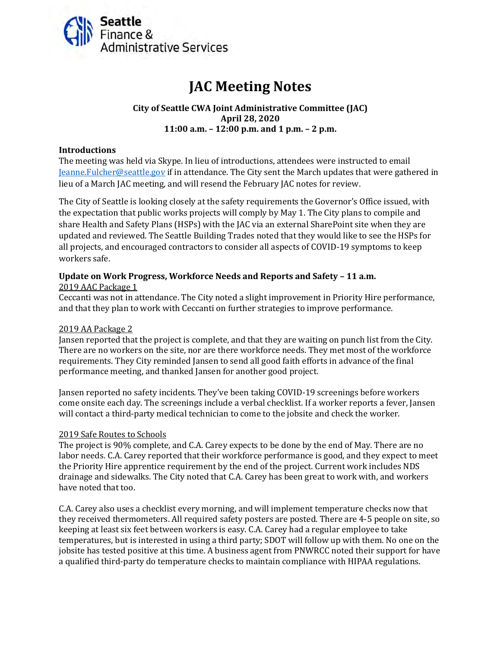<span id="page-12-0"></span>

#### **City of Seattle CWA Joint Administrative Committee (JAC) April 28, 2020 11:00 a.m. – 12:00 p.m. and 1 p.m. – 2 p.m.**

#### **Introductions**

The meeting was held via Skype. In lieu of introductions, attendees were instructed to email [Jeanne.Fulcher@seattle.gov](mailto:Jeanne.Fulcher@seattle.gov) if in attendance. The City sent the March updates that were gathered in lieu of a March JAC meeting, and will resend the February JAC notes for review.

The City of Seattle is looking closely at the safety requirements the Governor's Office issued, with the expectation that public works projects will comply by May 1. The City plans to compile and share Health and Safety Plans (HSPs) with the JAC via an external SharePoint site when they are updated and reviewed. The Seattle Building Trades noted that they would like to see the HSPs for all projects, and encouraged contractors to consider all aspects of COVID-19 symptoms to keep workers safe.

#### **Update on Work Progress, Workforce Needs and Reports and Safety – 11 a.m.** 2019 AAC Package 1

Ceccanti was not in attendance. The City noted a slight improvement in Priority Hire performance, and that they plan to work with Ceccanti on further strategies to improve performance.

#### 2019 AA Package 2

Jansen reported that the project is complete, and that they are waiting on punch list from the City. There are no workers on the site, nor are there workforce needs. They met most of the workforce requirements. They City reminded Jansen to send all good faith efforts in advance of the final performance meeting, and thanked Jansen for another good project.

Jansen reported no safety incidents. They've been taking COVID-19 screenings before workers come onsite each day. The screenings include a verbal checklist. If a worker reports a fever, Jansen will contact a third-party medical technician to come to the jobsite and check the worker.

#### 2019 Safe Routes to Schools

The project is 90% complete, and C.A. Carey expects to be done by the end of May. There are no labor needs. C.A. Carey reported that their workforce performance is good, and they expect to meet the Priority Hire apprentice requirement by the end of the project. Current work includes NDS drainage and sidewalks. The City noted that C.A. Carey has been great to work with, and workers have noted that too.

C.A. Carey also uses a checklist every morning, and will implement temperature checks now that they received thermometers. All required safety posters are posted. There are 4-5 people on site, so keeping at least six feet between workers is easy. C.A. Carey had a regular employee to take temperatures, but is interested in using a third party; SDOT will follow up with them. No one on the jobsite has tested positive at this time. A business agent from PNWRCC noted their support for have a qualified third-party do temperature checks to maintain compliance with HIPAA regulations.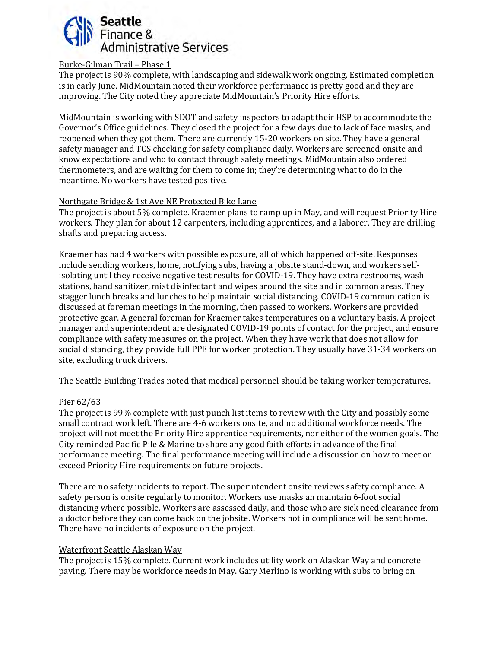

#### Burke-Gilman Trail – Phase 1

The project is 90% complete, with landscaping and sidewalk work ongoing. Estimated completion is in early June. MidMountain noted their workforce performance is pretty good and they are improving. The City noted they appreciate MidMountain's Priority Hire efforts.

MidMountain is working with SDOT and safety inspectors to adapt their HSP to accommodate the Governor's Office guidelines. They closed the project for a few days due to lack of face masks, and reopened when they got them. There are currently 15-20 workers on site. They have a general safety manager and TCS checking for safety compliance daily. Workers are screened onsite and know expectations and who to contact through safety meetings. MidMountain also ordered thermometers, and are waiting for them to come in; they're determining what to do in the meantime. No workers have tested positive.

#### Northgate Bridge & 1st Ave NE Protected Bike Lane

The project is about 5% complete. Kraemer plans to ramp up in May, and will request Priority Hire workers. They plan for about 12 carpenters, including apprentices, and a laborer. They are drilling shafts and preparing access.

Kraemer has had 4 workers with possible exposure, all of which happened off-site. Responses include sending workers, home, notifying subs, having a jobsite stand-down, and workers selfisolating until they receive negative test results for COVID-19. They have extra restrooms, wash stations, hand sanitizer, mist disinfectant and wipes around the site and in common areas. They stagger lunch breaks and lunches to help maintain social distancing. COVID-19 communication is discussed at foreman meetings in the morning, then passed to workers. Workers are provided protective gear. A general foreman for Kraemer takes temperatures on a voluntary basis. A project manager and superintendent are designated COVID-19 points of contact for the project, and ensure compliance with safety measures on the project. When they have work that does not allow for social distancing, they provide full PPE for worker protection. They usually have 31-34 workers on site, excluding truck drivers.

The Seattle Building Trades noted that medical personnel should be taking worker temperatures.

#### Pier 62/63

The project is 99% complete with just punch list items to review with the City and possibly some small contract work left. There are 4-6 workers onsite, and no additional workforce needs. The project will not meet the Priority Hire apprentice requirements, nor either of the women goals. The City reminded Pacific Pile & Marine to share any good faith efforts in advance of the final performance meeting. The final performance meeting will include a discussion on how to meet or exceed Priority Hire requirements on future projects.

There are no safety incidents to report. The superintendent onsite reviews safety compliance. A safety person is onsite regularly to monitor. Workers use masks an maintain 6-foot social distancing where possible. Workers are assessed daily, and those who are sick need clearance from a doctor before they can come back on the jobsite. Workers not in compliance will be sent home. There have no incidents of exposure on the project.

#### Waterfront Seattle Alaskan Way

The project is 15% complete. Current work includes utility work on Alaskan Way and concrete paving. There may be workforce needs in May. Gary Merlino is working with subs to bring on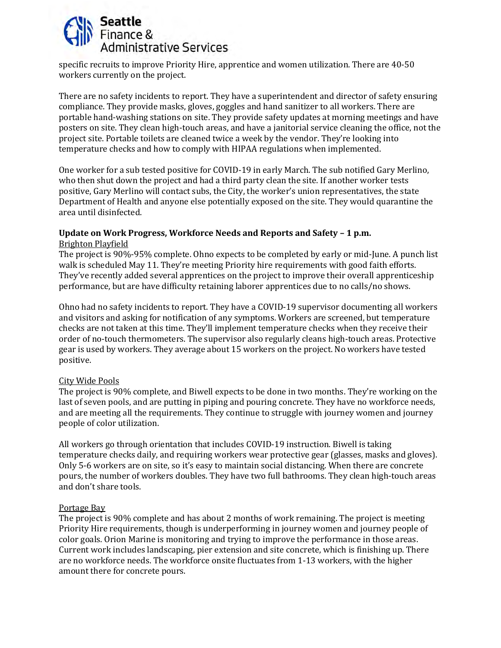# **Seattle** Finance & **Administrative Services**

specific recruits to improve Priority Hire, apprentice and women utilization. There are 40-50 workers currently on the project.

There are no safety incidents to report. They have a superintendent and director of safety ensuring compliance. They provide masks, gloves, goggles and hand sanitizer to all workers. There are portable hand-washing stations on site. They provide safety updates at morning meetings and have posters on site. They clean high-touch areas, and have a janitorial service cleaning the office, not the project site. Portable toilets are cleaned twice a week by the vendor. They're looking into temperature checks and how to comply with HIPAA regulations when implemented.

One worker for a sub tested positive for COVID-19 in early March. The sub notified Gary Merlino, who then shut down the project and had a third party clean the site. If another worker tests positive, Gary Merlino will contact subs, the City, the worker's union representatives, the state Department of Health and anyone else potentially exposed on the site. They would quarantine the area until disinfected.

#### **Update on Work Progress, Workforce Needs and Reports and Safety – 1 p.m.** Brighton Playfield

The project is 90%-95% complete. Ohno expects to be completed by early or mid-June. A punch list walk is scheduled May 11. They're meeting Priority hire requirements with good faith efforts. They've recently added several apprentices on the project to improve their overall apprenticeship performance, but are have difficulty retaining laborer apprentices due to no calls/no shows.

Ohno had no safety incidents to report. They have a COVID-19 supervisor documenting all workers and visitors and asking for notification of any symptoms. Workers are screened, but temperature checks are not taken at this time. They'll implement temperature checks when they receive their order of no-touch thermometers. The supervisor also regularly cleans high-touch areas. Protective gear is used by workers. They average about 15 workers on the project. No workers have tested positive.

#### City Wide Pools

The project is 90% complete, and Biwell expects to be done in two months. They're working on the last of seven pools, and are putting in piping and pouring concrete. They have no workforce needs, and are meeting all the requirements. They continue to struggle with journey women and journey people of color utilization.

All workers go through orientation that includes COVID-19 instruction. Biwell is taking temperature checks daily, and requiring workers wear protective gear (glasses, masks and gloves). Only 5-6 workers are on site, so it's easy to maintain social distancing. When there are concrete pours, the number of workers doubles. They have two full bathrooms. They clean high-touch areas and don't share tools.

#### Portage Bay

The project is 90% complete and has about 2 months of work remaining. The project is meeting Priority Hire requirements, though is underperforming in journey women and journey people of color goals. Orion Marine is monitoring and trying to improve the performance in those areas. Current work includes landscaping, pier extension and site concrete, which is finishing up. There are no workforce needs. The workforce onsite fluctuates from 1-13 workers, with the higher amount there for concrete pours.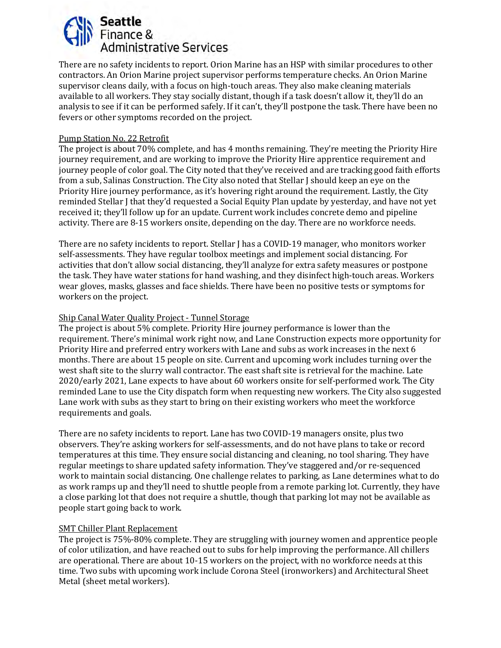

There are no safety incidents to report. Orion Marine has an HSP with similar procedures to other contractors. An Orion Marine project supervisor performs temperature checks. An Orion Marine supervisor cleans daily, with a focus on high-touch areas. They also make cleaning materials available to all workers. They stay socially distant, though if a task doesn't allow it, they'll do an analysis to see if it can be performed safely. If it can't, they'll postpone the task. There have been no fevers or other symptoms recorded on the project.

#### Pump Station No. 22 Retrofit

The project is about 70% complete, and has 4 months remaining. They're meeting the Priority Hire journey requirement, and are working to improve the Priority Hire apprentice requirement and journey people of color goal. The City noted that they've received and are tracking good faith efforts from a sub, Salinas Construction. The City also noted that Stellar J should keep an eye on the Priority Hire journey performance, as it's hovering right around the requirement. Lastly, the City reminded Stellar J that they'd requested a Social Equity Plan update by yesterday, and have not yet received it; they'll follow up for an update. Current work includes concrete demo and pipeline activity. There are 8-15 workers onsite, depending on the day. There are no workforce needs.

There are no safety incidents to report. Stellar J has a COVID-19 manager, who monitors worker self-assessments. They have regular toolbox meetings and implement social distancing. For activities that don't allow social distancing, they'll analyze for extra safety measures or postpone the task. They have water stations for hand washing, and they disinfect high-touch areas. Workers wear gloves, masks, glasses and face shields. There have been no positive tests or symptoms for workers on the project.

#### Ship Canal Water Quality Project - Tunnel Storage

The project is about 5% complete. Priority Hire journey performance is lower than the requirement. There's minimal work right now, and Lane Construction expects more opportunity for Priority Hire and preferred entry workers with Lane and subs as work increases in the next 6 months. There are about 15 people on site. Current and upcoming work includes turning over the west shaft site to the slurry wall contractor. The east shaft site is retrieval for the machine. Late 2020/early 2021, Lane expects to have about 60 workers onsite for self-performed work. The City reminded Lane to use the City dispatch form when requesting new workers. The City also suggested Lane work with subs as they start to bring on their existing workers who meet the workforce requirements and goals.

There are no safety incidents to report. Lane has two COVID-19 managers onsite, plus two observers. They're asking workers for self-assessments, and do not have plans to take or record temperatures at this time. They ensure social distancing and cleaning, no tool sharing. They have regular meetings to share updated safety information. They've staggered and/or re-sequenced work to maintain social distancing. One challenge relates to parking, as Lane determines what to do as work ramps up and they'll need to shuttle people from a remote parking lot. Currently, they have a close parking lot that does not require a shuttle, though that parking lot may not be available as people start going back to work.

#### SMT Chiller Plant Replacement

The project is 75%-80% complete. They are struggling with journey women and apprentice people of color utilization, and have reached out to subs for help improving the performance. All chillers are operational. There are about 10-15 workers on the project, with no workforce needs at this time. Two subs with upcoming work include Corona Steel (ironworkers) and Architectural Sheet Metal (sheet metal workers).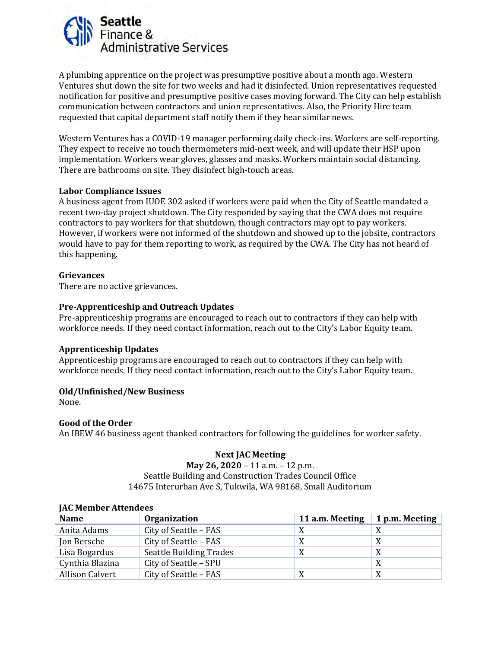

A plumbing apprentice on the project was presumptive positive about a month ago. Western Ventures shut down the site for two weeks and had it disinfected. Union representatives requested notification for positive and presumptive positive cases moving forward. The City can help establish communication between contractors and union representatives. Also, the Priority Hire team requested that capital department staff notify them if they hear similar news.

Western Ventures has a COVID-19 manager performing daily check-ins. Workers are self-reporting. They expect to receive no touch thermometers mid-next week, and will update their HSP upon implementation. Workers wear gloves, glasses and masks. Workers maintain social distancing. There are bathrooms on site. They disinfect high-touch areas.

#### **Labor Compliance Issues**

A business agent from IUOE 302 asked if workers were paid when the City of Seattle mandated a recent two-day project shutdown. The City responded by saying that the CWA does not require contractors to pay workers for that shutdown, though contractors may opt to pay workers. However, if workers were not informed of the shutdown and showed up to the jobsite, contractors would have to pay for them reporting to work, as required by the CWA. The City has not heard of this happening.

#### **Grievances**

There are no active grievances.

#### **Pre-Apprenticeship and Outreach Updates**

Pre-apprenticeship programs are encouraged to reach out to contractors if they can help with workforce needs. If they need contact information, reach out to the City's Labor Equity team.

#### **Apprenticeship Updates**

Apprenticeship programs are encouraged to reach out to contractors if they can help with workforce needs. If they need contact information, reach out to the City's Labor Equity team.

#### **Old/Unfinished/New Business**

None.

#### **Good of the Order**

An IBEW 46 business agent thanked contractors for following the guidelines for worker safety.

#### **Next JAC Meeting**

**May 26, 2020** – 11 a.m. – 12 p.m. Seattle Building and Construction Trades Council Office 14675 Interurban Ave S, Tukwila, WA 98168, Small Auditorium

| <b>Name</b>            | <b>Organization</b>            | 11 a.m. Meeting | 1 p.m. Meeting |
|------------------------|--------------------------------|-----------------|----------------|
| Anita Adams            | City of Seattle - FAS          |                 |                |
| Jon Bersche            | City of Seattle - FAS          | X               | X              |
| Lisa Bogardus          | <b>Seattle Building Trades</b> |                 | X              |
| Cynthia Blazina        | City of Seattle - SPU          |                 | X              |
| <b>Allison Calvert</b> | City of Seattle - FAS          |                 | X              |

#### **JAC Member Attendees**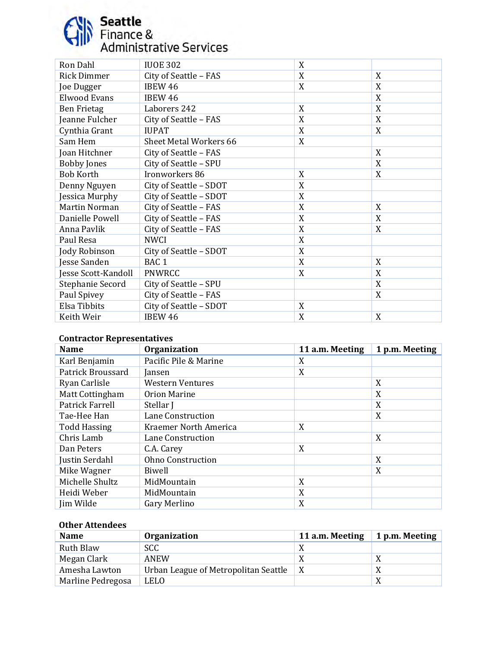

# Seattle<br>Finance &<br>Administrative Services

| Ron Dahl                                    | <b>IUOE 302</b>        | X |   |
|---------------------------------------------|------------------------|---|---|
| <b>Rick Dimmer</b><br>City of Seattle - FAS |                        | X | X |
| Joe Dugger                                  | <b>IBEW 46</b>         | X | X |
| Elwood Evans                                | <b>IBEW 46</b>         |   | X |
| <b>Ben Frietag</b>                          | Laborers 242           | X | X |
| Jeanne Fulcher                              | City of Seattle - FAS  | X | X |
| Cynthia Grant                               | <b>IUPAT</b>           | X | X |
| Sam Hem                                     | Sheet Metal Workers 66 | X |   |
| Joan Hitchner                               | City of Seattle - FAS  |   | X |
| <b>Bobby Jones</b>                          | City of Seattle - SPU  |   | X |
| <b>Bob Korth</b>                            | Ironworkers 86         | X | X |
| Denny Nguyen                                | City of Seattle - SDOT | X |   |
| Jessica Murphy                              | City of Seattle - SDOT | X |   |
| Martin Norman                               | City of Seattle - FAS  | X | X |
| Danielle Powell                             | City of Seattle - FAS  | X | X |
| Anna Pavlik                                 | City of Seattle - FAS  | X | X |
| Paul Resa                                   | <b>NWCI</b>            | X |   |
| Jody Robinson                               | City of Seattle - SDOT | X |   |
| Jesse Sanden                                | BAC <sub>1</sub>       | X | X |
| Jesse Scott-Kandoll                         | PNWRCC                 | X | X |
| Stephanie Secord                            | City of Seattle - SPU  |   | X |
| Paul Spivey                                 | City of Seattle - FAS  |   | X |
| Elsa Tibbits                                | City of Seattle - SDOT | X |   |
| Keith Weir                                  | <b>IBEW 46</b>         | X | X |
|                                             |                        |   |   |

#### **Contractor Representatives**

| <b>Name</b>         | Organization             | 11 a.m. Meeting | 1 p.m. Meeting |
|---------------------|--------------------------|-----------------|----------------|
| Karl Benjamin       | Pacific Pile & Marine    | X               |                |
| Patrick Broussard   | Jansen                   | X               |                |
| Ryan Carlisle       | <b>Western Ventures</b>  |                 | X              |
| Matt Cottingham     | <b>Orion Marine</b>      |                 | X              |
| Patrick Farrell     | Stellar J                |                 | X              |
| Tae-Hee Han         | <b>Lane Construction</b> |                 | X              |
| <b>Todd Hassing</b> | Kraemer North America    | X               |                |
| Chris Lamb          | <b>Lane Construction</b> |                 | X              |
| Dan Peters          | C.A. Carey               | X               |                |
| Justin Serdahl      | Ohno Construction        |                 | X              |
| Mike Wagner         | Biwell                   |                 | X              |
| Michelle Shultz     | MidMountain              | X               |                |
| Heidi Weber         | MidMountain              | X               |                |
| Jim Wilde           | Gary Merlino             | X               |                |

| <b>Name</b>       | <b>Organization</b>                  | 11 a.m. Meeting | 1 p.m. Meeting |
|-------------------|--------------------------------------|-----------------|----------------|
| Ruth Blaw         | <b>SCC</b>                           |                 |                |
| Megan Clark       | ANEW                                 |                 |                |
| Amesha Lawton     | Urban League of Metropolitan Seattle |                 |                |
| Marline Pedregosa | <b>LELO</b>                          |                 | X              |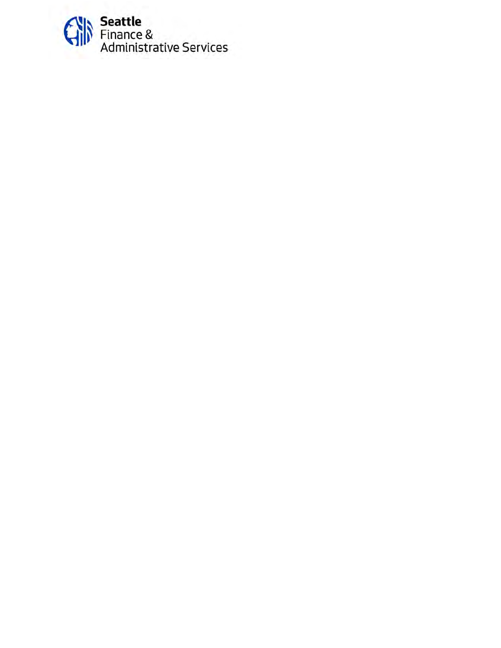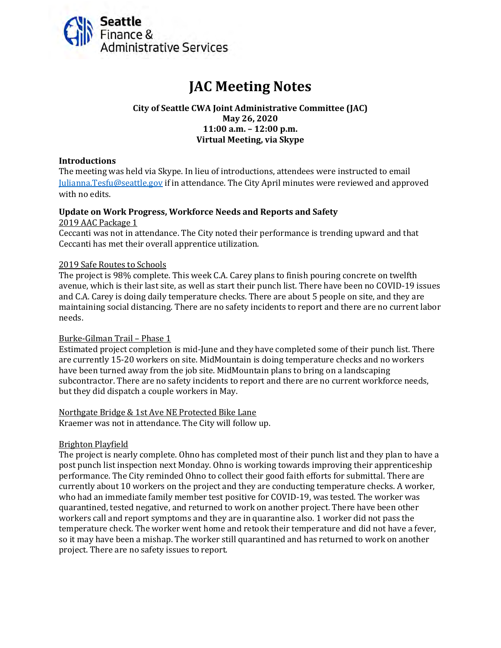<span id="page-19-0"></span>

#### **City of Seattle CWA Joint Administrative Committee (JAC) May 26, 2020 11:00 a.m. – 12:00 p.m. Virtual Meeting, via Skype**

#### **Introductions**

The meeting was held via Skype. In lieu of introductions, attendees were instructed to email [Julianna.Tesfu@seattle.gov](mailto:Julianna.Tesfu@seattle.gov) if in attendance. The City April minutes were reviewed and approved with no edits.

## **Update on Work Progress, Workforce Needs and Reports and Safety**

#### 2019 AAC Package 1

Ceccanti was not in attendance. The City noted their performance is trending upward and that Ceccanti has met their overall apprentice utilization.

#### 2019 Safe Routes to Schools

The project is 98% complete. This week C.A. Carey plans to finish pouring concrete on twelfth avenue, which is their last site, as well as start their punch list. There have been no COVID-19 issues and C.A. Carey is doing daily temperature checks. There are about 5 people on site, and they are maintaining social distancing. There are no safety incidents to report and there are no current labor needs.

#### Burke-Gilman Trail – Phase 1

Estimated project completion is mid-June and they have completed some of their punch list. There are currently 15-20 workers on site. MidMountain is doing temperature checks and no workers have been turned away from the job site. MidMountain plans to bring on a landscaping subcontractor. There are no safety incidents to report and there are no current workforce needs, but they did dispatch a couple workers in May.

#### Northgate Bridge & 1st Ave NE Protected Bike Lane

Kraemer was not in attendance. The City will follow up.

#### Brighton Playfield

The project is nearly complete. Ohno has completed most of their punch list and they plan to have a post punch list inspection next Monday. Ohno is working towards improving their apprenticeship performance. The City reminded Ohno to collect their good faith efforts for submittal. There are currently about 10 workers on the project and they are conducting temperature checks. A worker, who had an immediate family member test positive for COVID-19, was tested. The worker was quarantined, tested negative, and returned to work on another project. There have been other workers call and report symptoms and they are in quarantine also. 1 worker did not pass the temperature check. The worker went home and retook their temperature and did not have a fever, so it may have been a mishap. The worker still quarantined and has returned to work on another project. There are no safety issues to report.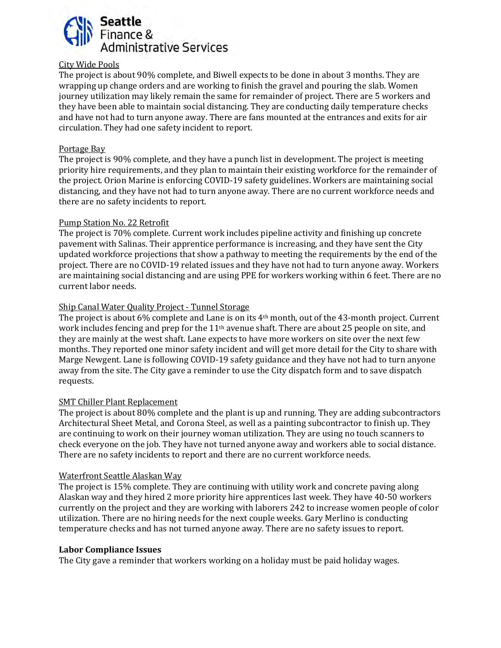

#### City Wide Pools

The project is about 90% complete, and Biwell expects to be done in about 3 months. They are wrapping up change orders and are working to finish the gravel and pouring the slab. Women journey utilization may likely remain the same for remainder of project. There are 5 workers and they have been able to maintain social distancing. They are conducting daily temperature checks and have not had to turn anyone away. There are fans mounted at the entrances and exits for air circulation. They had one safety incident to report.

## Portage Bay

The project is 90% complete, and they have a punch list in development. The project is meeting priority hire requirements, and they plan to maintain their existing workforce for the remainder of the project. Orion Marine is enforcing COVID-19 safety guidelines. Workers are maintaining social distancing, and they have not had to turn anyone away. There are no current workforce needs and there are no safety incidents to report.

#### Pump Station No. 22 Retrofit

The project is 70% complete. Current work includes pipeline activity and finishing up concrete pavement with Salinas. Their apprentice performance is increasing, and they have sent the City updated workforce projections that show a pathway to meeting the requirements by the end of the project. There are no COVID-19 related issues and they have not had to turn anyone away. Workers are maintaining social distancing and are using PPE for workers working within 6 feet. There are no current labor needs.

#### Ship Canal Water Quality Project - Tunnel Storage

The project is about 6% complete and Lane is on its 4th month, out of the 43-month project. Current work includes fencing and prep for the 11th avenue shaft. There are about 25 people on site, and they are mainly at the west shaft. Lane expects to have more workers on site over the next few months. They reported one minor safety incident and will get more detail for the City to share with Marge Newgent. Lane is following COVID-19 safety guidance and they have not had to turn anyone away from the site. The City gave a reminder to use the City dispatch form and to save dispatch requests.

#### SMT Chiller Plant Replacement

The project is about 80% complete and the plant is up and running. They are adding subcontractors Architectural Sheet Metal, and Corona Steel, as well as a painting subcontractor to finish up. They are continuing to work on their journey woman utilization. They are using no touch scanners to check everyone on the job. They have not turned anyone away and workers able to social distance. There are no safety incidents to report and there are no current workforce needs.

#### Waterfront Seattle Alaskan Way

The project is 15% complete. They are continuing with utility work and concrete paving along Alaskan way and they hired 2 more priority hire apprentices last week. They have 40-50 workers currently on the project and they are working with laborers 242 to increase women people of color utilization. There are no hiring needs for the next couple weeks. Gary Merlino is conducting temperature checks and has not turned anyone away. There are no safety issues to report.

#### **Labor Compliance Issues**

The City gave a reminder that workers working on a holiday must be paid holiday wages.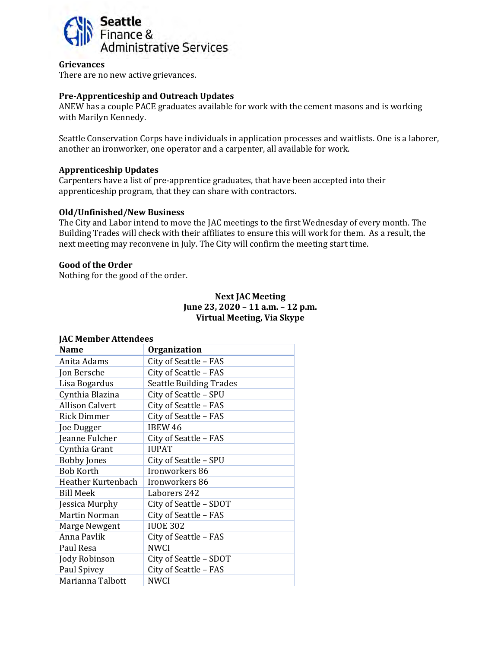

**Grievances**

There are no new active grievances.

#### **Pre-Apprenticeship and Outreach Updates**

ANEW has a couple PACE graduates available for work with the cement masons and is working with Marilyn Kennedy.

Seattle Conservation Corps have individuals in application processes and waitlists. One is a laborer, another an ironworker, one operator and a carpenter, all available for work.

#### **Apprenticeship Updates**

Carpenters have a list of pre-apprentice graduates, that have been accepted into their apprenticeship program, that they can share with contractors.

#### **Old/Unfinished/New Business**

The City and Labor intend to move the JAC meetings to the first Wednesday of every month. The Building Trades will check with their affiliates to ensure this will work for them. As a result, the next meeting may reconvene in July. The City will confirm the meeting start time.

#### **Good of the Order**

Nothing for the good of the order.

#### **Next JAC Meeting June 23, 2020 – 11 a.m. – 12 p.m. Virtual Meeting, Via Skype**

| <b>JAC Member Attendees</b> |                     |
|-----------------------------|---------------------|
| $N_{\rm ann}$               | $\overline{\Omega}$ |

| <b>Name</b>            | <b>Organization</b>            |
|------------------------|--------------------------------|
| Anita Adams            | City of Seattle - FAS          |
| Jon Bersche            | City of Seattle - FAS          |
| Lisa Bogardus          | <b>Seattle Building Trades</b> |
| Cynthia Blazina        | City of Seattle - SPU          |
| <b>Allison Calvert</b> | City of Seattle - FAS          |
| <b>Rick Dimmer</b>     | City of Seattle - FAS          |
| Joe Dugger             | <b>IBEW 46</b>                 |
| Jeanne Fulcher         | City of Seattle - FAS          |
| Cynthia Grant          | <b>IUPAT</b>                   |
| <b>Bobby Jones</b>     | City of Seattle - SPU          |
| <b>Bob Korth</b>       | Ironworkers 86                 |
| Heather Kurtenbach     | Ironworkers 86                 |
| <b>Bill Meek</b>       | Laborers 242                   |
| Jessica Murphy         | City of Seattle - SDOT         |
| <b>Martin Norman</b>   | City of Seattle - FAS          |
| Marge Newgent          | <b>IUOE 302</b>                |
| Anna Pavlik            | City of Seattle - FAS          |
| Paul Resa              | NWCI                           |
| Jody Robinson          | City of Seattle - SDOT         |
| Paul Spivey            | City of Seattle - FAS          |
| Marianna Talbott       | <b>NWCI</b>                    |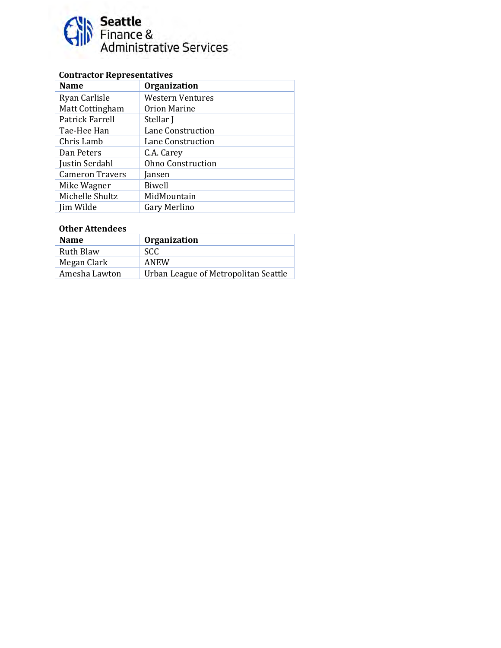

#### **Contractor Representatives**

| <b>Name</b>            | <b>Organization</b>      |
|------------------------|--------------------------|
| Ryan Carlisle          | <b>Western Ventures</b>  |
| Matt Cottingham        | Orion Marine             |
| Patrick Farrell        | Stellar J                |
| Tae-Hee Han            | Lane Construction        |
| Chris Lamb             | Lane Construction        |
| Dan Peters             | C.A. Carey               |
| Justin Serdahl         | <b>Ohno Construction</b> |
| <b>Cameron Travers</b> | Jansen                   |
| Mike Wagner            | Biwell                   |
| Michelle Shultz        | MidMountain              |
| Jim Wilde              | Gary Merlino             |

| <b>Name</b>   | <b>Organization</b>                  |
|---------------|--------------------------------------|
| Ruth Blaw     | SCC.                                 |
| Megan Clark   | ANFW                                 |
| Amesha Lawton | Urban League of Metropolitan Seattle |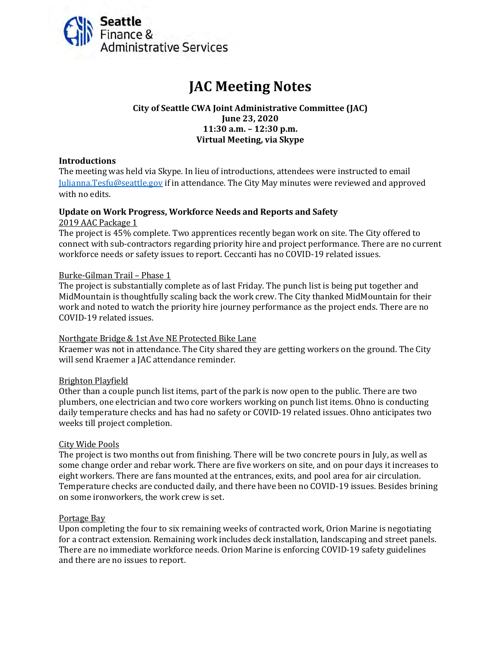<span id="page-23-0"></span>

#### **City of Seattle CWA Joint Administrative Committee (JAC) June 23, 2020 11:30 a.m. – 12:30 p.m. Virtual Meeting, via Skype**

#### **Introductions**

The meeting was held via Skype. In lieu of introductions, attendees were instructed to email [Julianna.Tesfu@seattle.gov](mailto:Julianna.Tesfu@seattle.gov) if in attendance. The City May minutes were reviewed and approved with no edits.

#### **Update on Work Progress, Workforce Needs and Reports and Safety**

2019 AAC Package 1

The project is 45% complete. Two apprentices recently began work on site. The City offered to connect with sub-contractors regarding priority hire and project performance. There are no current workforce needs or safety issues to report. Ceccanti has no COVID-19 related issues.

#### Burke-Gilman Trail – Phase 1

The project is substantially complete as of last Friday. The punch list is being put together and MidMountain is thoughtfully scaling back the work crew. The City thanked MidMountain for their work and noted to watch the priority hire journey performance as the project ends. There are no COVID-19 related issues.

#### Northgate Bridge & 1st Ave NE Protected Bike Lane

Kraemer was not in attendance. The City shared they are getting workers on the ground. The City will send Kraemer a JAC attendance reminder.

#### Brighton Playfield

Other than a couple punch list items, part of the park is now open to the public. There are two plumbers, one electrician and two core workers working on punch list items. Ohno is conducting daily temperature checks and has had no safety or COVID-19 related issues. Ohno anticipates two weeks till project completion.

#### City Wide Pools

The project is two months out from finishing. There will be two concrete pours in July, as well as some change order and rebar work. There are five workers on site, and on pour days it increases to eight workers. There are fans mounted at the entrances, exits, and pool area for air circulation. Temperature checks are conducted daily, and there have been no COVID-19 issues. Besides brining on some ironworkers, the work crew is set.

#### Portage Bay

Upon completing the four to six remaining weeks of contracted work, Orion Marine is negotiating for a contract extension. Remaining work includes deck installation, landscaping and street panels. There are no immediate workforce needs. Orion Marine is enforcing COVID-19 safety guidelines and there are no issues to report.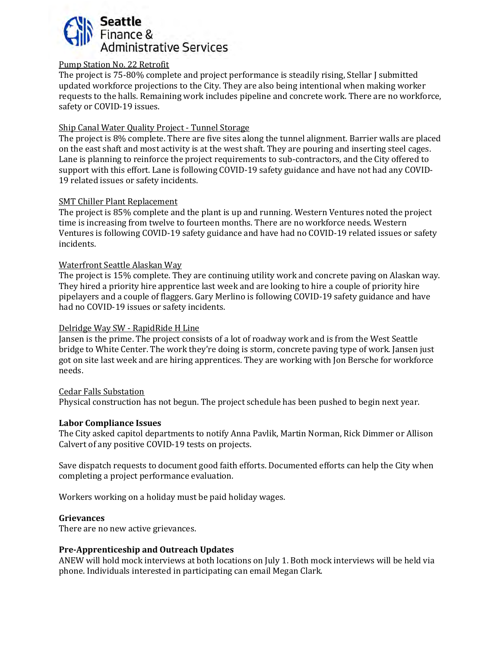# **Seattle** Finance & **Administrative Services**

#### Pump Station No. 22 Retrofit

The project is 75-80% complete and project performance is steadily rising, Stellar J submitted updated workforce projections to the City. They are also being intentional when making worker requests to the halls. Remaining work includes pipeline and concrete work. There are no workforce, safety or COVID-19 issues.

#### Ship Canal Water Quality Project - Tunnel Storage

The project is 8% complete. There are five sites along the tunnel alignment. Barrier walls are placed on the east shaft and most activity is at the west shaft. They are pouring and inserting steel cages. Lane is planning to reinforce the project requirements to sub-contractors, and the City offered to support with this effort. Lane is following COVID-19 safety guidance and have not had any COVID-19 related issues or safety incidents.

#### SMT Chiller Plant Replacement

The project is 85% complete and the plant is up and running. Western Ventures noted the project time is increasing from twelve to fourteen months. There are no workforce needs. Western Ventures is following COVID-19 safety guidance and have had no COVID-19 related issues or safety incidents.

#### Waterfront Seattle Alaskan Way

The project is 15% complete. They are continuing utility work and concrete paving on Alaskan way. They hired a priority hire apprentice last week and are looking to hire a couple of priority hire pipelayers and a couple of flaggers. Gary Merlino is following COVID-19 safety guidance and have had no COVID-19 issues or safety incidents.

#### Delridge Way SW - RapidRide H Line

Jansen is the prime. The project consists of a lot of roadway work and is from the West Seattle bridge to White Center. The work they're doing is storm, concrete paving type of work. Jansen just got on site last week and are hiring apprentices. They are working with Jon Bersche for workforce needs.

#### Cedar Falls Substation

Physical construction has not begun. The project schedule has been pushed to begin next year.

#### **Labor Compliance Issues**

The City asked capitol departments to notify Anna Pavlik, Martin Norman, Rick Dimmer or Allison Calvert of any positive COVID-19 tests on projects.

Save dispatch requests to document good faith efforts. Documented efforts can help the City when completing a project performance evaluation.

Workers working on a holiday must be paid holiday wages.

#### **Grievances**

There are no new active grievances.

#### **Pre-Apprenticeship and Outreach Updates**

ANEW will hold mock interviews at both locations on July 1. Both mock interviews will be held via phone. Individuals interested in participating can email Megan Clark.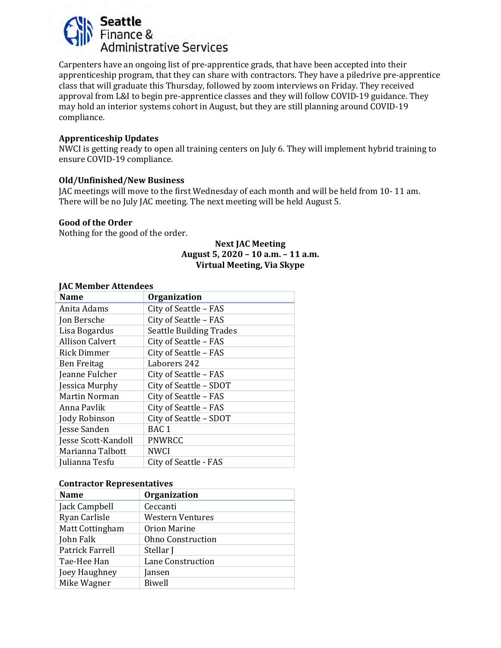

Carpenters have an ongoing list of pre-apprentice grads, that have been accepted into their apprenticeship program, that they can share with contractors. They have a piledrive pre-apprentice class that will graduate this Thursday, followed by zoom interviews on Friday. They received approval from L&I to begin pre-apprentice classes and they will follow COVID-19 guidance. They may hold an interior systems cohort in August, but they are still planning around COVID-19 compliance.

#### **Apprenticeship Updates**

NWCI is getting ready to open all training centers on July 6. They will implement hybrid training to ensure COVID-19 compliance.

#### **Old/Unfinished/New Business**

JAC meetings will move to the first Wednesday of each month and will be held from 10- 11 am. There will be no July JAC meeting. The next meeting will be held August 5.

#### **Good of the Order**

Nothing for the good of the order.

#### **Next JAC Meeting August 5, 2020 – 10 a.m. – 11 a.m. Virtual Meeting, Via Skype**

#### **JAC Member Attendees**

| <b>The Member Attenuees</b>    |
|--------------------------------|
| <b>Organization</b>            |
| City of Seattle - FAS          |
| City of Seattle - FAS          |
| <b>Seattle Building Trades</b> |
| City of Seattle - FAS          |
| City of Seattle - FAS          |
| Laborers 242                   |
| City of Seattle - FAS          |
| City of Seattle - SDOT         |
| City of Seattle - FAS          |
| City of Seattle - FAS          |
| City of Seattle - SDOT         |
| BAC <sub>1</sub>               |
| PNWRCC                         |
| <b>NWCI</b>                    |
| City of Seattle - FAS          |
|                                |

#### **Contractor Representatives**

| <b>Organization</b>      |
|--------------------------|
| Ceccanti                 |
| <b>Western Ventures</b>  |
| Orion Marine             |
| <b>Ohno Construction</b> |
| Stellar J                |
| Lane Construction        |
| Jansen                   |
| Biwell                   |
|                          |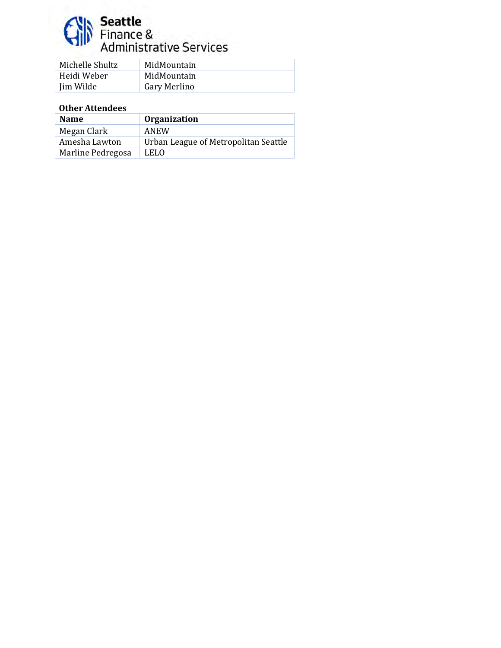

| Michelle Shultz | MidMountain  |
|-----------------|--------------|
| Heidi Weber     | MidMountain  |
| Jim Wilde       | Gary Merlino |

| <b>Name</b>       | <b>Organization</b>                  |
|-------------------|--------------------------------------|
| Megan Clark       | ANEW                                 |
| Amesha Lawton     | Urban League of Metropolitan Seattle |
| Marline Pedregosa | LELO                                 |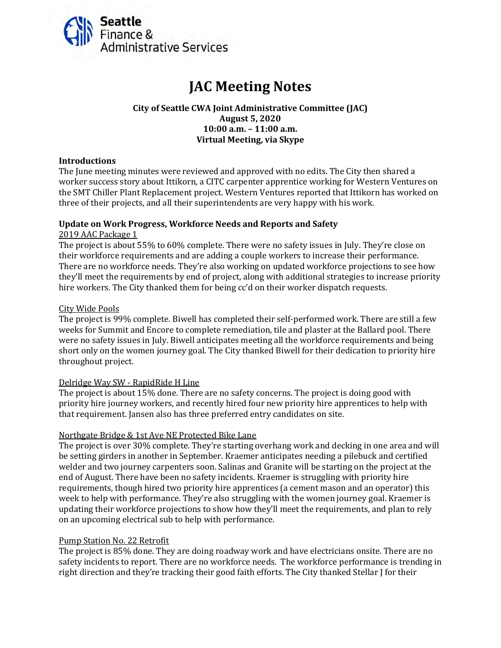<span id="page-27-0"></span>

#### **City of Seattle CWA Joint Administrative Committee (JAC) August 5, 2020 10:00 a.m. – 11:00 a.m. Virtual Meeting, via Skype**

#### **Introductions**

The June meeting minutes were reviewed and approved with no edits. The City then shared a worker success story about Ittikorn, a CITC carpenter apprentice working for Western Ventures on the SMT Chiller Plant Replacement project. Western Ventures reported that Ittikorn has worked on three of their projects, and all their superintendents are very happy with his work.

#### **Update on Work Progress, Workforce Needs and Reports and Safety**

#### 2019 AAC Package 1

The project is about 55% to 60% complete. There were no safety issues in July. They're close on their workforce requirements and are adding a couple workers to increase their performance. There are no workforce needs. They're also working on updated workforce projections to see how they'll meet the requirements by end of project, along with additional strategies to increase priority hire workers. The City thanked them for being cc'd on their worker dispatch requests.

#### City Wide Pools

The project is 99% complete. Biwell has completed their self-performed work. There are still a few weeks for Summit and Encore to complete remediation, tile and plaster at the Ballard pool. There were no safety issues in July. Biwell anticipates meeting all the workforce requirements and being short only on the women journey goal. The City thanked Biwell for their dedication to priority hire throughout project.

#### Delridge Way SW - RapidRide H Line

The project is about 15% done. There are no safety concerns. The project is doing good with priority hire journey workers, and recently hired four new priority hire apprentices to help with that requirement. Jansen also has three preferred entry candidates on site.

#### Northgate Bridge & 1st Ave NE Protected Bike Lane

The project is over 30% complete. They're starting overhang work and decking in one area and will be setting girders in another in September. Kraemer anticipates needing a pilebuck and certified welder and two journey carpenters soon. Salinas and Granite will be starting on the project at the end of August. There have been no safety incidents. Kraemer is struggling with priority hire requirements, though hired two priority hire apprentices (a cement mason and an operator) this week to help with performance. They're also struggling with the women journey goal. Kraemer is updating their workforce projections to show how they'll meet the requirements, and plan to rely on an upcoming electrical sub to help with performance.

#### Pump Station No. 22 Retrofit

The project is 85% done. They are doing roadway work and have electricians onsite. There are no safety incidents to report. There are no workforce needs. The workforce performance is trending in right direction and they're tracking their good faith efforts. The City thanked Stellar J for their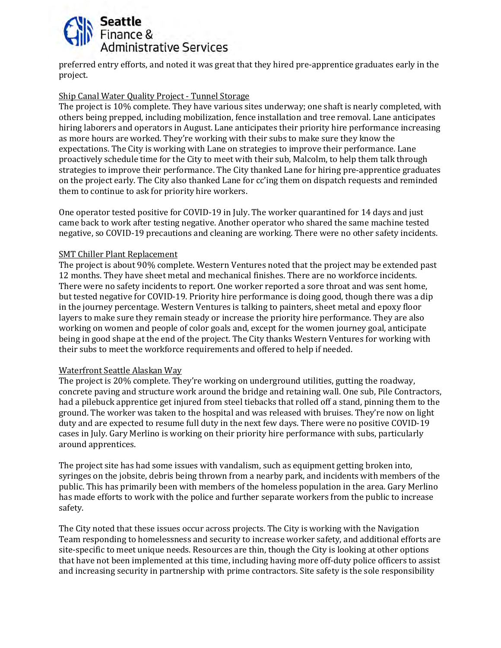# **Seattle** Finance & inistrative Services

preferred entry efforts, and noted it was great that they hired pre-apprentice graduates early in the project.

#### Ship Canal Water Quality Project - Tunnel Storage

The project is 10% complete. They have various sites underway; one shaft is nearly completed, with others being prepped, including mobilization, fence installation and tree removal. Lane anticipates hiring laborers and operators in August. Lane anticipates their priority hire performance increasing as more hours are worked. They're working with their subs to make sure they know the expectations. The City is working with Lane on strategies to improve their performance. Lane proactively schedule time for the City to meet with their sub, Malcolm, to help them talk through strategies to improve their performance. The City thanked Lane for hiring pre-apprentice graduates on the project early. The City also thanked Lane for cc'ing them on dispatch requests and reminded them to continue to ask for priority hire workers.

One operator tested positive for COVID-19 in July. The worker quarantined for 14 days and just came back to work after testing negative. Another operator who shared the same machine tested negative, so COVID-19 precautions and cleaning are working. There were no other safety incidents.

#### SMT Chiller Plant Replacement

The project is about 90% complete. Western Ventures noted that the project may be extended past 12 months. They have sheet metal and mechanical finishes. There are no workforce incidents. There were no safety incidents to report. One worker reported a sore throat and was sent home, but tested negative for COVID-19. Priority hire performance is doing good, though there was a dip in the journey percentage. Western Ventures is talking to painters, sheet metal and epoxy floor layers to make sure they remain steady or increase the priority hire performance. They are also working on women and people of color goals and, except for the women journey goal, anticipate being in good shape at the end of the project. The City thanks Western Ventures for working with their subs to meet the workforce requirements and offered to help if needed.

#### Waterfront Seattle Alaskan Way

The project is 20% complete. They're working on underground utilities, gutting the roadway, concrete paving and structure work around the bridge and retaining wall. One sub, Pile Contractors, had a pilebuck apprentice get injured from steel tiebacks that rolled off a stand, pinning them to the ground. The worker was taken to the hospital and was released with bruises. They're now on light duty and are expected to resume full duty in the next few days. There were no positive COVID-19 cases in July. Gary Merlino is working on their priority hire performance with subs, particularly around apprentices.

The project site has had some issues with vandalism, such as equipment getting broken into, syringes on the jobsite, debris being thrown from a nearby park, and incidents with members of the public. This has primarily been with members of the homeless population in the area. Gary Merlino has made efforts to work with the police and further separate workers from the public to increase safety.

The City noted that these issues occur across projects. The City is working with the Navigation Team responding to homelessness and security to increase worker safety, and additional efforts are site-specific to meet unique needs. Resources are thin, though the City is looking at other options that have not been implemented at this time, including having more off-duty police officers to assist and increasing security in partnership with prime contractors. Site safety is the sole responsibility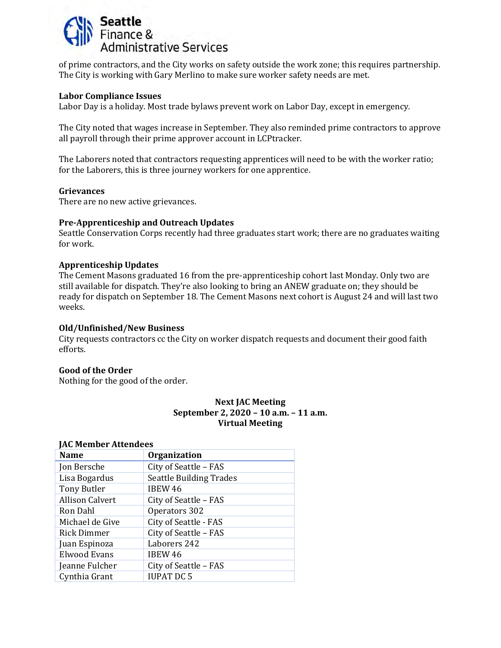

of prime contractors, and the City works on safety outside the work zone; this requires partnership. The City is working with Gary Merlino to make sure worker safety needs are met.

#### **Labor Compliance Issues**

Labor Day is a holiday. Most trade bylaws prevent work on Labor Day, except in emergency.

The City noted that wages increase in September. They also reminded prime contractors to approve all payroll through their prime approver account in LCPtracker.

The Laborers noted that contractors requesting apprentices will need to be with the worker ratio; for the Laborers, this is three journey workers for one apprentice.

#### **Grievances**

There are no new active grievances.

#### **Pre-Apprenticeship and Outreach Updates**

Seattle Conservation Corps recently had three graduates start work; there are no graduates waiting for work.

#### **Apprenticeship Updates**

The Cement Masons graduated 16 from the pre-apprenticeship cohort last Monday. Only two are still available for dispatch. They're also looking to bring an ANEW graduate on; they should be ready for dispatch on September 18. The Cement Masons next cohort is August 24 and will last two weeks.

#### **Old/Unfinished/New Business**

City requests contractors cc the City on worker dispatch requests and document their good faith efforts.

#### **Good of the Order**

Nothing for the good of the order.

#### **Next JAC Meeting September 2, 2020 – 10 a.m. – 11 a.m. Virtual Meeting**

#### **JAC Member Attendees**

| <b>Name</b>            | Organization                   |
|------------------------|--------------------------------|
| Jon Bersche            | City of Seattle - FAS          |
| Lisa Bogardus          | <b>Seattle Building Trades</b> |
| Tony Butler            | <b>IBEW 46</b>                 |
| <b>Allison Calvert</b> | City of Seattle - FAS          |
| Ron Dahl               | Operators 302                  |
| Michael de Give        | City of Seattle - FAS          |
| <b>Rick Dimmer</b>     | City of Seattle - FAS          |
| Juan Espinoza          | Laborers 242                   |
| <b>Elwood Evans</b>    | <b>IBEW 46</b>                 |
| Jeanne Fulcher         | City of Seattle - FAS          |
| Cynthia Grant          | <b>IUPAT DC 5</b>              |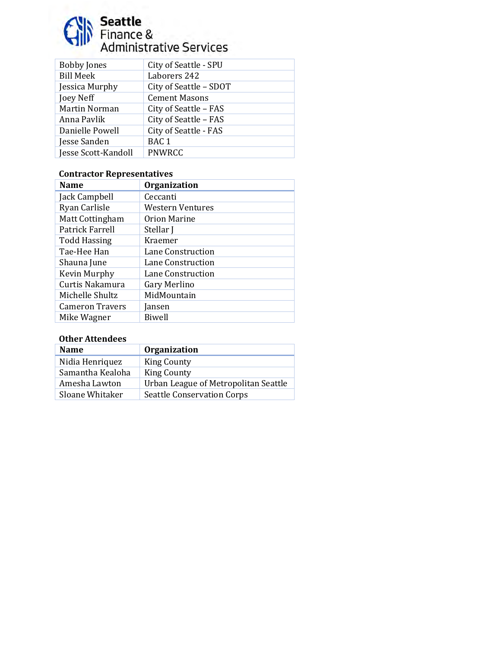

| <b>Bobby Jones</b>   | City of Seattle - SPU  |
|----------------------|------------------------|
| <b>Bill Meek</b>     | Laborers 242           |
| Jessica Murphy       | City of Seattle - SDOT |
| Joey Neff            | <b>Cement Masons</b>   |
| <b>Martin Norman</b> | City of Seattle - FAS  |
| Anna Pavlik          | City of Seattle - FAS  |
| Danielle Powell      | City of Seattle - FAS  |
| Jesse Sanden         | BAC <sub>1</sub>       |
| Jesse Scott-Kandoll  | PNWRCC                 |
|                      |                        |

## **Contractor Representatives**

| <b>Name</b>            | <b>Organization</b>     |
|------------------------|-------------------------|
| Jack Campbell          | Ceccanti                |
| Ryan Carlisle          | <b>Western Ventures</b> |
| Matt Cottingham        | Orion Marine            |
| Patrick Farrell        | Stellar J               |
| <b>Todd Hassing</b>    | Kraemer                 |
| Tae-Hee Han            | Lane Construction       |
| Shauna June            | Lane Construction       |
| Kevin Murphy           | Lane Construction       |
| Curtis Nakamura        | Gary Merlino            |
| Michelle Shultz        | MidMountain             |
| <b>Cameron Travers</b> | Jansen                  |
| Mike Wagner            | Biwell                  |

| <b>Name</b>      | <b>Organization</b>                  |
|------------------|--------------------------------------|
| Nidia Henriquez  | <b>King County</b>                   |
| Samantha Kealoha | <b>King County</b>                   |
| Amesha Lawton    | Urban League of Metropolitan Seattle |
| Sloane Whitaker  | <b>Seattle Conservation Corps</b>    |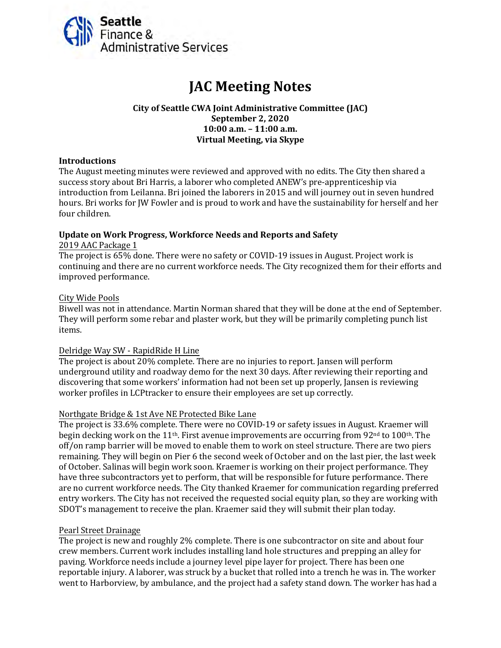<span id="page-31-0"></span>

#### **City of Seattle CWA Joint Administrative Committee (JAC) September 2, 2020 10:00 a.m. – 11:00 a.m. Virtual Meeting, via Skype**

#### **Introductions**

The August meeting minutes were reviewed and approved with no edits. The City then shared a success story about Bri Harris, a laborer who completed ANEW's pre-apprenticeship via introduction from Leilanna. Bri joined the laborers in 2015 and will journey out in seven hundred hours. Bri works for JW Fowler and is proud to work and have the sustainability for herself and her four children.

# **Update on Work Progress, Workforce Needs and Reports and Safety**

#### 2019 AAC Package 1

The project is 65% done. There were no safety or COVID-19 issues in August. Project work is continuing and there are no current workforce needs. The City recognized them for their efforts and improved performance.

#### City Wide Pools

Biwell was not in attendance. Martin Norman shared that they will be done at the end of September. They will perform some rebar and plaster work, but they will be primarily completing punch list items.

#### Delridge Way SW - RapidRide H Line

The project is about 20% complete. There are no injuries to report. Jansen will perform underground utility and roadway demo for the next 30 days. After reviewing their reporting and discovering that some workers' information had not been set up properly, Jansen is reviewing worker profiles in LCPtracker to ensure their employees are set up correctly.

#### Northgate Bridge & 1st Ave NE Protected Bike Lane

The project is 33.6% complete. There were no COVID-19 or safety issues in August. Kraemer will begin decking work on the 11<sup>th</sup>. First avenue improvements are occurring from 92<sup>nd</sup> to 100<sup>th</sup>. The off/on ramp barrier will be moved to enable them to work on steel structure. There are two piers remaining. They will begin on Pier 6 the second week of October and on the last pier, the last week of October. Salinas will begin work soon. Kraemer is working on their project performance. They have three subcontractors yet to perform, that will be responsible for future performance. There are no current workforce needs. The City thanked Kraemer for communication regarding preferred entry workers. The City has not received the requested social equity plan, so they are working with SDOT's management to receive the plan. Kraemer said they will submit their plan today.

#### Pearl Street Drainage

The project is new and roughly 2% complete. There is one subcontractor on site and about four crew members. Current work includes installing land hole structures and prepping an alley for paving. Workforce needs include a journey level pipe layer for project. There has been one reportable injury. A laborer, was struck by a bucket that rolled into a trench he was in. The worker went to Harborview, by ambulance, and the project had a safety stand down. The worker has had a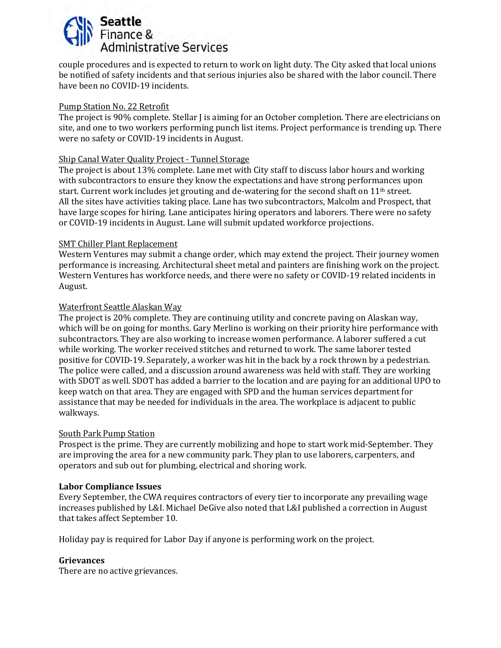# **Seattle** Finance & inistrative Services

couple procedures and is expected to return to work on light duty. The City asked that local unions be notified of safety incidents and that serious injuries also be shared with the labor council. There have been no COVID-19 incidents.

#### Pump Station No. 22 Retrofit

The project is 90% complete. Stellar J is aiming for an October completion. There are electricians on site, and one to two workers performing punch list items. Project performance is trending up. There were no safety or COVID-19 incidents in August.

#### Ship Canal Water Quality Project - Tunnel Storage

The project is about 13% complete. Lane met with City staff to discuss labor hours and working with subcontractors to ensure they know the expectations and have strong performances upon start. Current work includes jet grouting and de-watering for the second shaft on  $11<sup>th</sup>$  street. All the sites have activities taking place. Lane has two subcontractors, Malcolm and Prospect, that have large scopes for hiring. Lane anticipates hiring operators and laborers. There were no safety or COVID-19 incidents in August. Lane will submit updated workforce projections.

#### SMT Chiller Plant Replacement

Western Ventures may submit a change order, which may extend the project. Their journey women performance is increasing. Architectural sheet metal and painters are finishing work on the project. Western Ventures has workforce needs, and there were no safety or COVID-19 related incidents in August.

#### Waterfront Seattle Alaskan Way

The project is 20% complete. They are continuing utility and concrete paving on Alaskan way, which will be on going for months. Gary Merlino is working on their priority hire performance with subcontractors. They are also working to increase women performance. A laborer suffered a cut while working. The worker received stitches and returned to work. The same laborer tested positive for COVID-19. Separately, a worker was hit in the back by a rock thrown by a pedestrian. The police were called, and a discussion around awareness was held with staff. They are working with SDOT as well. SDOT has added a barrier to the location and are paying for an additional UPO to keep watch on that area. They are engaged with SPD and the human services department for assistance that may be needed for individuals in the area. The workplace is adjacent to public walkways.

#### South Park Pump Station

Prospect is the prime. They are currently mobilizing and hope to start work mid-September. They are improving the area for a new community park. They plan to use laborers, carpenters, and operators and sub out for plumbing, electrical and shoring work.

#### **Labor Compliance Issues**

Every September, the CWA requires contractors of every tier to incorporate any prevailing wage increases published by L&I. Michael DeGive also noted that L&I published a correction in August that takes affect September 10.

Holiday pay is required for Labor Day if anyone is performing work on the project.

#### **Grievances**

There are no active grievances.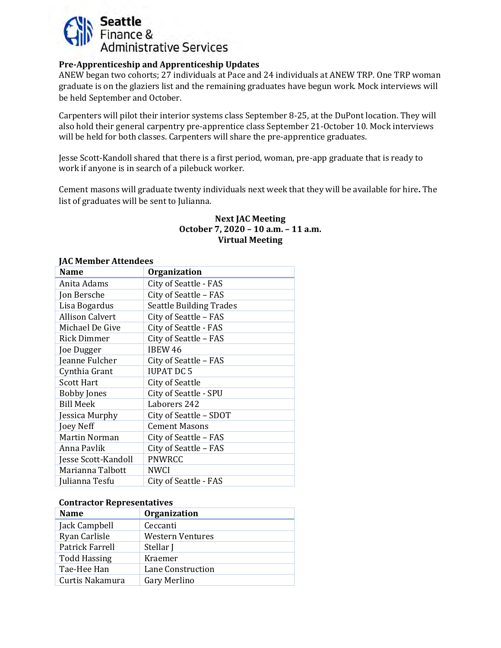

#### **Pre-Apprenticeship and Apprenticeship Updates**

ANEW began two cohorts; 27 individuals at Pace and 24 individuals at ANEW TRP. One TRP woman graduate is on the glaziers list and the remaining graduates have begun work. Mock interviews will be held September and October.

Carpenters will pilot their interior systems class September 8-25, at the DuPont location. They will also hold their general carpentry pre-apprentice class September 21-October 10. Mock interviews will be held for both classes. Carpenters will share the pre-apprentice graduates.

Jesse Scott-Kandoll shared that there is a first period, woman, pre-app graduate that is ready to work if anyone is in search of a pilebuck worker.

Cement masons will graduate twenty individuals next week that they will be available for hire**.** The list of graduates will be sent to Julianna.

| <b>JAC Member Attendees</b> |                                |
|-----------------------------|--------------------------------|
| <b>Name</b>                 | <b>Organization</b>            |
| Anita Adams                 | City of Seattle - FAS          |
| Jon Bersche                 | City of Seattle - FAS          |
| Lisa Bogardus               | <b>Seattle Building Trades</b> |
| <b>Allison Calvert</b>      | City of Seattle - FAS          |
| Michael De Give             | City of Seattle - FAS          |
| Rick Dimmer                 | City of Seattle - FAS          |
| Joe Dugger                  | <b>IBEW 46</b>                 |
| Jeanne Fulcher              | City of Seattle - FAS          |
| Cynthia Grant               | <b>IUPAT DC 5</b>              |
| <b>Scott Hart</b>           | City of Seattle                |
| <b>Bobby Jones</b>          | City of Seattle - SPU          |
| <b>Bill Meek</b>            | Laborers 242                   |
| Jessica Murphy              | City of Seattle - SDOT         |
| Joey Neff                   | <b>Cement Masons</b>           |
| <b>Martin Norman</b>        | City of Seattle - FAS          |
| Anna Pavlik                 | City of Seattle - FAS          |
| Jesse Scott-Kandoll         | PNWRCC                         |
| Marianna Talbott            | <b>NWCI</b>                    |
| Julianna Tesfu              | City of Seattle - FAS          |
|                             |                                |

#### **Next JAC Meeting October 7, 2020 – 10 a.m. – 11 a.m. Virtual Meeting**

#### **Contractor Representatives**

| <b>Name</b>         | Organization            |
|---------------------|-------------------------|
| Jack Campbell       | Ceccanti                |
| Ryan Carlisle       | <b>Western Ventures</b> |
| Patrick Farrell     | Stellar J               |
| <b>Todd Hassing</b> | Kraemer                 |
| Tae-Hee Han         | Lane Construction       |
| Curtis Nakamura     | Gary Merlino            |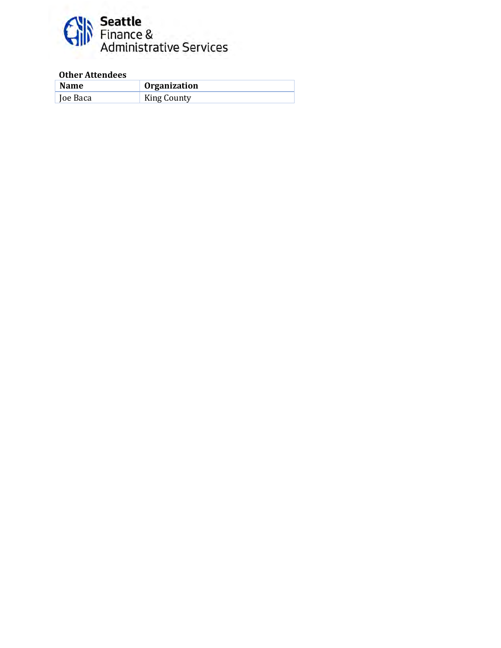

| Name     | <b>Organization</b> |
|----------|---------------------|
| Joe Baca | <b>King County</b>  |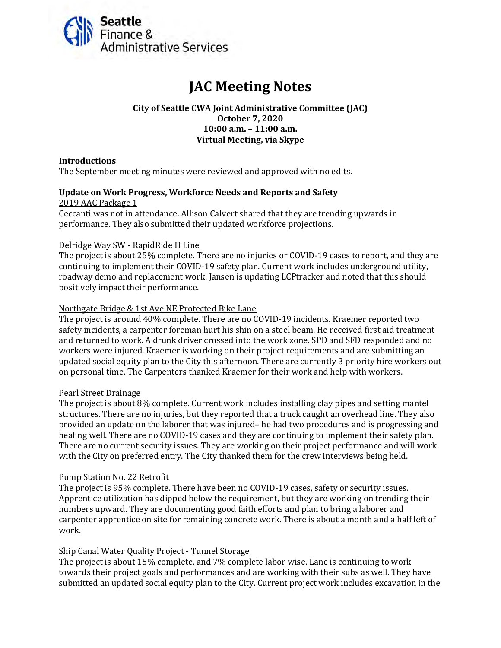<span id="page-35-0"></span>

#### **City of Seattle CWA Joint Administrative Committee (JAC) October 7, 2020 10:00 a.m. – 11:00 a.m. Virtual Meeting, via Skype**

#### **Introductions**

The September meeting minutes were reviewed and approved with no edits.

#### **Update on Work Progress, Workforce Needs and Reports and Safety**

2019 AAC Package 1

Ceccanti was not in attendance. Allison Calvert shared that they are trending upwards in performance. They also submitted their updated workforce projections.

#### Delridge Way SW - RapidRide H Line

The project is about 25% complete. There are no injuries or COVID-19 cases to report, and they are continuing to implement their COVID-19 safety plan. Current work includes underground utility, roadway demo and replacement work. Jansen is updating LCPtracker and noted that this should positively impact their performance.

#### Northgate Bridge & 1st Ave NE Protected Bike Lane

The project is around 40% complete. There are no COVID-19 incidents. Kraemer reported two safety incidents, a carpenter foreman hurt his shin on a steel beam. He received first aid treatment and returned to work. A drunk driver crossed into the work zone. SPD and SFD responded and no workers were injured. Kraemer is working on their project requirements and are submitting an updated social equity plan to the City this afternoon. There are currently 3 priority hire workers out on personal time. The Carpenters thanked Kraemer for their work and help with workers.

## Pearl Street Drainage

The project is about 8% complete. Current work includes installing clay pipes and setting mantel structures. There are no injuries, but they reported that a truck caught an overhead line. They also provided an update on the laborer that was injured– he had two procedures and is progressing and healing well. There are no COVID-19 cases and they are continuing to implement their safety plan. There are no current security issues. They are working on their project performance and will work with the City on preferred entry. The City thanked them for the crew interviews being held.

#### Pump Station No. 22 Retrofit

The project is 95% complete. There have been no COVID-19 cases, safety or security issues. Apprentice utilization has dipped below the requirement, but they are working on trending their numbers upward. They are documenting good faith efforts and plan to bring a laborer and carpenter apprentice on site for remaining concrete work. There is about a month and a half left of work.

#### Ship Canal Water Quality Project - Tunnel Storage

The project is about 15% complete, and 7% complete labor wise. Lane is continuing to work towards their project goals and performances and are working with their subs as well. They have submitted an updated social equity plan to the City. Current project work includes excavation in the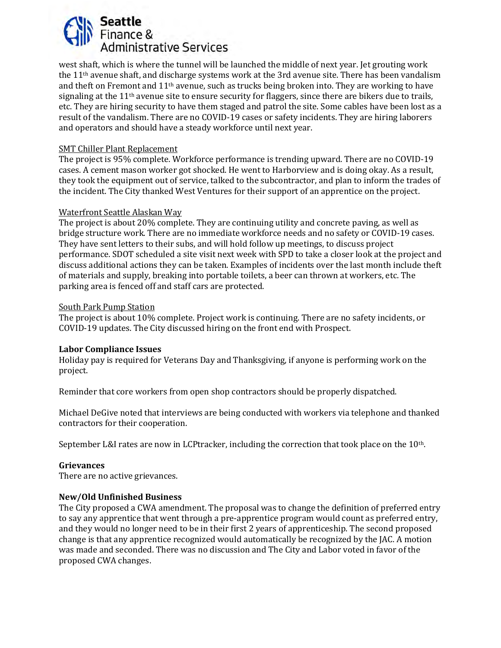

west shaft, which is where the tunnel will be launched the middle of next year. Jet grouting work the 11th avenue shaft, and discharge systems work at the 3rd avenue site. There has been vandalism and theft on Fremont and 11th avenue, such as trucks being broken into. They are working to have signaling at the  $11<sup>th</sup>$  avenue site to ensure security for flaggers, since there are bikers due to trails, etc. They are hiring security to have them staged and patrol the site. Some cables have been lost as a result of the vandalism. There are no COVID-19 cases or safety incidents. They are hiring laborers and operators and should have a steady workforce until next year.

#### SMT Chiller Plant Replacement

The project is 95% complete. Workforce performance is trending upward. There are no COVID-19 cases. A cement mason worker got shocked. He went to Harborview and is doing okay. As a result, they took the equipment out of service, talked to the subcontractor, and plan to inform the trades of the incident. The City thanked West Ventures for their support of an apprentice on the project.

#### Waterfront Seattle Alaskan Way

The project is about 20% complete. They are continuing utility and concrete paving, as well as bridge structure work. There are no immediate workforce needs and no safety or COVID-19 cases. They have sent letters to their subs, and will hold follow up meetings, to discuss project performance. SDOT scheduled a site visit next week with SPD to take a closer look at the project and discuss additional actions they can be taken. Examples of incidents over the last month include theft of materials and supply, breaking into portable toilets, a beer can thrown at workers, etc. The parking area is fenced off and staff cars are protected.

#### South Park Pump Station

The project is about 10% complete. Project work is continuing. There are no safety incidents, or COVID-19 updates. The City discussed hiring on the front end with Prospect.

#### **Labor Compliance Issues**

Holiday pay is required for Veterans Day and Thanksgiving, if anyone is performing work on the project.

Reminder that core workers from open shop contractors should be properly dispatched.

Michael DeGive noted that interviews are being conducted with workers via telephone and thanked contractors for their cooperation.

September L&I rates are now in LCPtracker, including the correction that took place on the 10th.

#### **Grievances**

There are no active grievances.

#### **New/Old Unfinished Business**

The City proposed a CWA amendment. The proposal was to change the definition of preferred entry to say any apprentice that went through a pre-apprentice program would count as preferred entry, and they would no longer need to be in their first 2 years of apprenticeship. The second proposed change is that any apprentice recognized would automatically be recognized by the JAC. A motion was made and seconded. There was no discussion and The City and Labor voted in favor of the proposed CWA changes.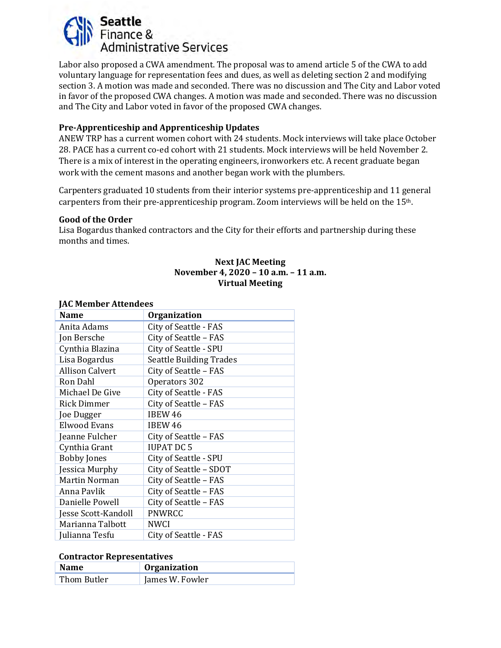# Seattle Finance & dministrative Services

Labor also proposed a CWA amendment. The proposal was to amend article 5 of the CWA to add voluntary language for representation fees and dues, as well as deleting section 2 and modifying section 3. A motion was made and seconded. There was no discussion and The City and Labor voted in favor of the proposed CWA changes. A motion was made and seconded. There was no discussion and The City and Labor voted in favor of the proposed CWA changes.

#### **Pre-Apprenticeship and Apprenticeship Updates**

ANEW TRP has a current women cohort with 24 students. Mock interviews will take place October 28. PACE has a current co-ed cohort with 21 students. Mock interviews will be held November 2. There is a mix of interest in the operating engineers, ironworkers etc. A recent graduate began work with the cement masons and another began work with the plumbers.

Carpenters graduated 10 students from their interior systems pre-apprenticeship and 11 general carpenters from their pre-apprenticeship program. Zoom interviews will be held on the 15th.

#### **Good of the Order**

Lisa Bogardus thanked contractors and the City for their efforts and partnership during these months and times.

#### **Next JAC Meeting November 4, 2020 – 10 a.m. – 11 a.m. Virtual Meeting**

| pro member muendes     |                                |
|------------------------|--------------------------------|
| <b>Name</b>            | <b>Organization</b>            |
| Anita Adams            | City of Seattle - FAS          |
| Jon Bersche            | City of Seattle - FAS          |
| Cynthia Blazina        | City of Seattle - SPU          |
| Lisa Bogardus          | <b>Seattle Building Trades</b> |
| <b>Allison Calvert</b> | City of Seattle - FAS          |
| Ron Dahl               | Operators 302                  |
| Michael De Give        | City of Seattle - FAS          |
| <b>Rick Dimmer</b>     | City of Seattle - FAS          |
| Joe Dugger             | <b>IBEW 46</b>                 |
| <b>Elwood Evans</b>    | <b>IBEW 46</b>                 |
| Jeanne Fulcher         | City of Seattle - FAS          |
| Cynthia Grant          | <b>IUPAT DC 5</b>              |
| <b>Bobby Jones</b>     | City of Seattle - SPU          |
| Jessica Murphy         | City of Seattle - SDOT         |
| <b>Martin Norman</b>   | City of Seattle - FAS          |
| Anna Pavlik            | City of Seattle - FAS          |
| Danielle Powell        | City of Seattle - FAS          |
| Jesse Scott-Kandoll    | PNWRCC                         |
| Marianna Talbott       | <b>NWCI</b>                    |
| Julianna Tesfu         | City of Seattle - FAS          |
|                        |                                |

#### **JAC Member Attendees**

## **Contractor Representatives**

| Name        | <b>Organization</b> |
|-------------|---------------------|
| Thom Butler | James W. Fowler     |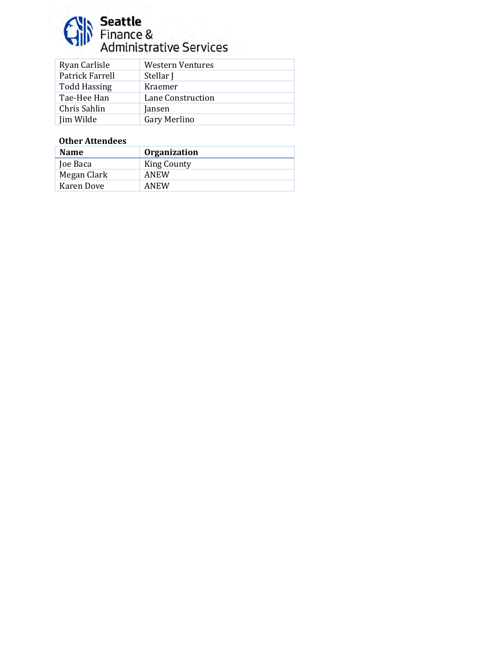

| Ryan Carlisle       | <b>Western Ventures</b> |
|---------------------|-------------------------|
| Patrick Farrell     | Stellar J               |
| <b>Todd Hassing</b> | Kraemer                 |
| Tae-Hee Han         | Lane Construction       |
| Chris Sahlin        | Jansen                  |
| Jim Wilde           | Gary Merlino            |

| <b>Name</b> | <b>Organization</b> |
|-------------|---------------------|
| Joe Baca    | <b>King County</b>  |
| Megan Clark | ANEW                |
| Karen Dove  | ANEW                |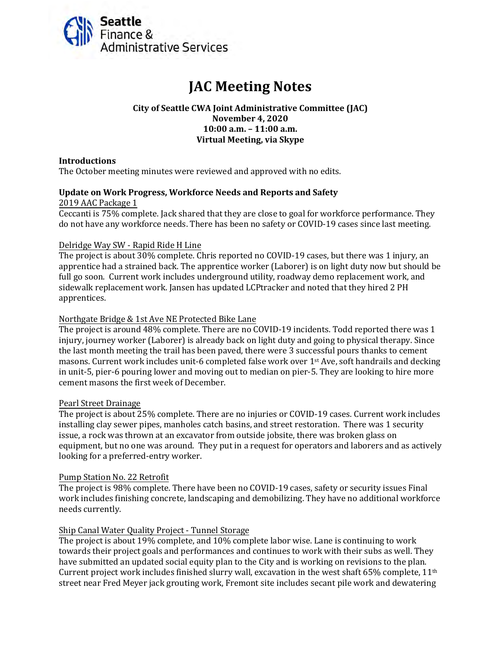<span id="page-39-0"></span>

#### **City of Seattle CWA Joint Administrative Committee (JAC) November 4, 2020 10:00 a.m. – 11:00 a.m. Virtual Meeting, via Skype**

#### **Introductions**

The October meeting minutes were reviewed and approved with no edits.

#### **Update on Work Progress, Workforce Needs and Reports and Safety**

2019 AAC Package 1

Ceccanti is 75% complete. Jack shared that they are close to goal for workforce performance. They do not have any workforce needs. There has been no safety or COVID-19 cases since last meeting.

#### Delridge Way SW - Rapid Ride H Line

The project is about 30% complete. Chris reported no COVID-19 cases, but there was 1 injury, an apprentice had a strained back. The apprentice worker (Laborer) is on light duty now but should be full go soon. Current work includes underground utility, roadway demo replacement work, and sidewalk replacement work. Jansen has updated LCPtracker and noted that they hired 2 PH apprentices.

#### Northgate Bridge & 1st Ave NE Protected Bike Lane

The project is around 48% complete. There are no COVID-19 incidents. Todd reported there was 1 injury, journey worker (Laborer) is already back on light duty and going to physical therapy. Since the last month meeting the trail has been paved, there were 3 successful pours thanks to cement masons. Current work includes unit-6 completed false work over 1st Ave, soft handrails and decking in unit-5, pier-6 pouring lower and moving out to median on pier-5. They are looking to hire more cement masons the first week of December.

#### Pearl Street Drainage

The project is about 25% complete. There are no injuries or COVID-19 cases. Current work includes installing clay sewer pipes, manholes catch basins, and street restoration. There was 1 security issue, a rock was thrown at an excavator from outside jobsite, there was broken glass on equipment, but no one was around. They put in a request for operators and laborers and as actively looking for a preferred-entry worker.

#### Pump Station No. 22 Retrofit

The project is 98% complete. There have been no COVID-19 cases, safety or security issues Final work includes finishing concrete, landscaping and demobilizing. They have no additional workforce needs currently.

#### Ship Canal Water Quality Project - Tunnel Storage

The project is about 19% complete, and 10% complete labor wise. Lane is continuing to work towards their project goals and performances and continues to work with their subs as well. They have submitted an updated social equity plan to the City and is working on revisions to the plan. Current project work includes finished slurry wall, excavation in the west shaft 65% complete, 11th street near Fred Meyer jack grouting work, Fremont site includes secant pile work and dewatering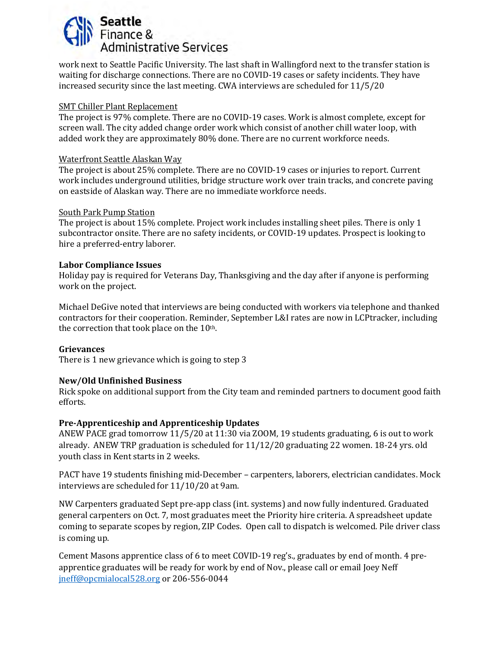# Seattle Finance & nistrative Services

work next to Seattle Pacific University. The last shaft in Wallingford next to the transfer station is waiting for discharge connections. There are no COVID-19 cases or safety incidents. They have increased security since the last meeting. CWA interviews are scheduled for 11/5/20

#### SMT Chiller Plant Replacement

The project is 97% complete. There are no COVID-19 cases. Work is almost complete, except for screen wall. The city added change order work which consist of another chill water loop, with added work they are approximately 80% done. There are no current workforce needs.

#### Waterfront Seattle Alaskan Way

The project is about 25% complete. There are no COVID-19 cases or injuries to report. Current work includes underground utilities, bridge structure work over train tracks, and concrete paving on eastside of Alaskan way. There are no immediate workforce needs.

#### South Park Pump Station

The project is about 15% complete. Project work includes installing sheet piles. There is only 1 subcontractor onsite. There are no safety incidents, or COVID-19 updates. Prospect is looking to hire a preferred-entry laborer.

#### **Labor Compliance Issues**

Holiday pay is required for Veterans Day, Thanksgiving and the day after if anyone is performing work on the project.

Michael DeGive noted that interviews are being conducted with workers via telephone and thanked contractors for their cooperation. Reminder, September L&I rates are now in LCPtracker, including the correction that took place on the 10<sup>th</sup>.

#### **Grievances**

There is 1 new grievance which is going to step 3

#### **New/Old Unfinished Business**

Rick spoke on additional support from the City team and reminded partners to document good faith efforts.

#### **Pre-Apprenticeship and Apprenticeship Updates**

ANEW PACE grad tomorrow 11/5/20 at 11:30 via ZOOM, 19 students graduating, 6 is out to work already. ANEW TRP graduation is scheduled for 11/12/20 graduating 22 women. 18-24 yrs. old youth class in Kent starts in 2 weeks.

PACT have 19 students finishing mid-December – carpenters, laborers, electrician candidates. Mock interviews are scheduled for 11/10/20 at 9am.

NW Carpenters graduated Sept pre-app class (int. systems) and now fully indentured. Graduated general carpenters on Oct. 7, most graduates meet the Priority hire criteria. A spreadsheet update coming to separate scopes by region, ZIP Codes. Open call to dispatch is welcomed. Pile driver class is coming up.

Cement Masons apprentice class of 6 to meet COVID-19 reg's., graduates by end of month. 4 preapprentice graduates will be ready for work by end of Nov., please call or email Joey Neff [jneff@opcmialocal528.org](mailto:jneff@opcmialocal528.org) or 206-556-0044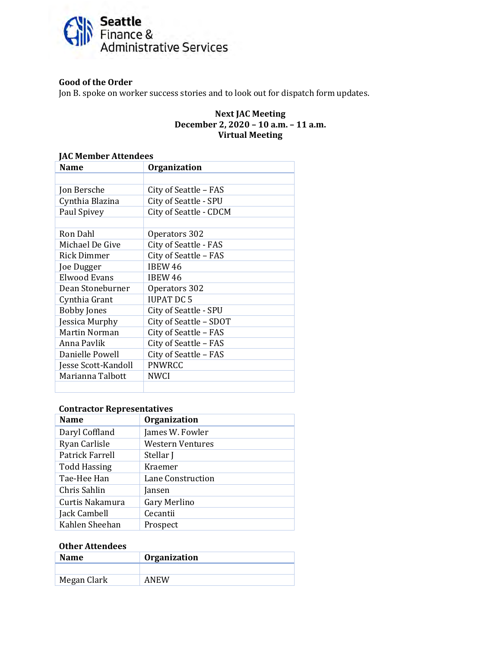

#### **Good of the Order**

Jon B. spoke on worker success stories and to look out for dispatch form updates.

#### **Next JAC Meeting December 2, 2020 – 10 a.m. – 11 a.m. Virtual Meeting**

| <b>JAC Member Attendees</b> |                        |
|-----------------------------|------------------------|
| <b>Name</b>                 | Organization           |
|                             |                        |
| Jon Bersche                 | City of Seattle - FAS  |
| Cynthia Blazina             | City of Seattle - SPU  |
| Paul Spivey                 | City of Seattle - CDCM |
|                             |                        |
| Ron Dahl                    | Operators 302          |
| Michael De Give             | City of Seattle - FAS  |
| <b>Rick Dimmer</b>          | City of Seattle - FAS  |
| Joe Dugger                  | <b>IBEW 46</b>         |
| <b>Elwood Evans</b>         | <b>IBEW 46</b>         |
| Dean Stoneburner            | Operators 302          |
| Cynthia Grant               | <b>IUPAT DC 5</b>      |
| <b>Bobby Jones</b>          | City of Seattle - SPU  |
| Jessica Murphy              | City of Seattle - SDOT |
| <b>Martin Norman</b>        | City of Seattle - FAS  |
| Anna Pavlik                 | City of Seattle - FAS  |
| Danielle Powell             | City of Seattle - FAS  |
| Jesse Scott-Kandoll         | PNWRCC                 |
| Marianna Talbott            | NWCI                   |
|                             |                        |

#### **Contractor Representatives**

| <b>Name</b>         | <b>Organization</b> |
|---------------------|---------------------|
| Daryl Coffland      | James W. Fowler     |
| Ryan Carlisle       | Western Ventures    |
| Patrick Farrell     | Stellar J           |
| <b>Todd Hassing</b> | Kraemer             |
| Tae-Hee Han         | Lane Construction   |
| Chris Sahlin        | Jansen              |
| Curtis Nakamura     | Gary Merlino        |
| Jack Cambell        | Cecantii            |
| Kahlen Sheehan      | Prospect            |

| <b>Name</b> | <b>Organization</b> |
|-------------|---------------------|
|             |                     |
| Megan Clark | ANEW                |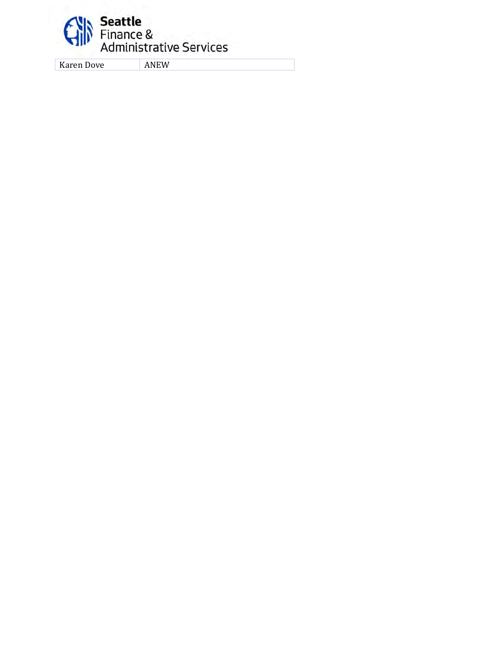

Karen Dove ANEW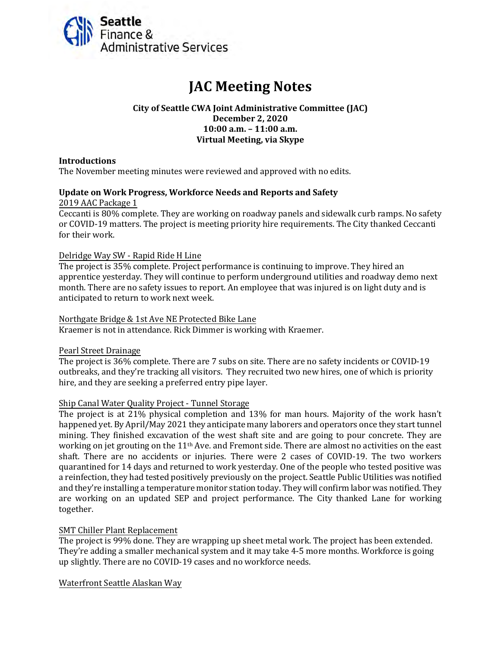<span id="page-43-0"></span>

#### **City of Seattle CWA Joint Administrative Committee (JAC) December 2, 2020 10:00 a.m. – 11:00 a.m. Virtual Meeting, via Skype**

#### **Introductions**

The November meeting minutes were reviewed and approved with no edits.

#### **Update on Work Progress, Workforce Needs and Reports and Safety**

2019 AAC Package 1

Ceccanti is 80% complete. They are working on roadway panels and sidewalk curb ramps. No safety or COVID-19 matters. The project is meeting priority hire requirements. The City thanked Ceccanti for their work.

#### Delridge Way SW - Rapid Ride H Line

The project is 35% complete. Project performance is continuing to improve. They hired an apprentice yesterday. They will continue to perform underground utilities and roadway demo next month. There are no safety issues to report. An employee that was injured is on light duty and is anticipated to return to work next week.

#### Northgate Bridge & 1st Ave NE Protected Bike Lane

Kraemer is not in attendance. Rick Dimmer is working with Kraemer.

#### Pearl Street Drainage

The project is 36% complete. There are 7 subs on site. There are no safety incidents or COVID-19 outbreaks, and they're tracking all visitors. They recruited two new hires, one of which is priority hire, and they are seeking a preferred entry pipe layer.

#### Ship Canal Water Quality Project - Tunnel Storage

The project is at 21% physical completion and 13% for man hours. Majority of the work hasn't happened yet. By April/May 2021 they anticipate many laborers and operators once they start tunnel mining. They finished excavation of the west shaft site and are going to pour concrete. They are working on jet grouting on the 11th Ave. and Fremont side. There are almost no activities on the east shaft. There are no accidents or injuries. There were 2 cases of COVID-19. The two workers quarantined for 14 days and returned to work yesterday. One of the people who tested positive was a reinfection, they had tested positively previously on the project. Seattle Public Utilities was notified and they're installing a temperature monitor station today. They will confirm labor was notified. They are working on an updated SEP and project performance. The City thanked Lane for working together.

#### SMT Chiller Plant Replacement

The project is 99% done. They are wrapping up sheet metal work. The project has been extended. They're adding a smaller mechanical system and it may take 4-5 more months. Workforce is going up slightly. There are no COVID-19 cases and no workforce needs.

#### Waterfront Seattle Alaskan Way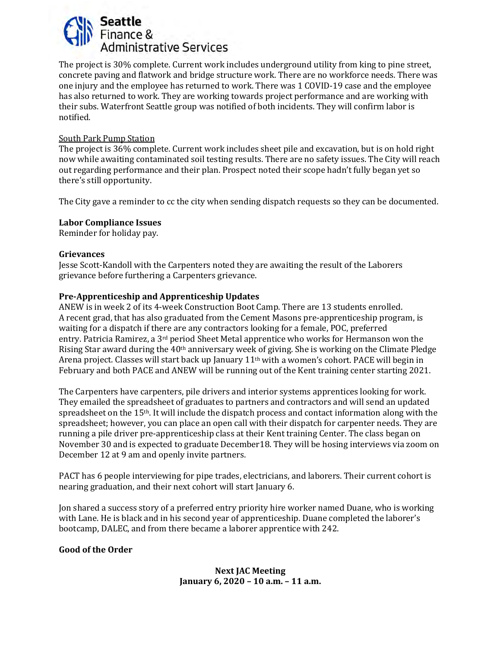

The project is 30% complete. Current work includes underground utility from king to pine street, concrete paving and flatwork and bridge structure work. There are no workforce needs. There was one injury and the employee has returned to work. There was 1 COVID-19 case and the employee has also returned to work. They are working towards project performance and are working with their subs. Waterfront Seattle group was notified of both incidents. They will confirm labor is notified.

#### South Park Pump Station

The project is 36% complete. Current work includes sheet pile and excavation, but is on hold right now while awaiting contaminated soil testing results. There are no safety issues. The City will reach out regarding performance and their plan. Prospect noted their scope hadn't fully began yet so there's still opportunity.

The City gave a reminder to cc the city when sending dispatch requests so they can be documented.

#### **Labor Compliance Issues**

Reminder for holiday pay.

#### **Grievances**

Jesse Scott-Kandoll with the Carpenters noted they are awaiting the result of the Laborers grievance before furthering a Carpenters grievance.

#### **Pre-Apprenticeship and Apprenticeship Updates**

ANEW is in week 2 of its 4-week Construction Boot Camp. There are 13 students enrolled. A recent grad, that has also graduated from the Cement Masons pre-apprenticeship program, is waiting for a dispatch if there are any contractors looking for a female, POC, preferred entry. Patricia Ramirez, a  $3<sup>rd</sup>$  period Sheet Metal apprentice who works for Hermanson won the Rising Star award during the 40th anniversary week of giving. She is working on the Climate Pledge Arena project. Classes will start back up January 11th with a women's cohort. PACE will begin in February and both PACE and ANEW will be running out of the Kent training center starting 2021.

The Carpenters have carpenters, pile drivers and interior systems apprentices looking for work. They emailed the spreadsheet of graduates to partners and contractors and will send an updated spreadsheet on the 15th. It will include the dispatch process and contact information along with the spreadsheet; however, you can place an open call with their dispatch for carpenter needs. They are running a pile driver pre-apprenticeship class at their Kent training Center. The class began on November 30 and is expected to graduate December18. They will be hosing interviews via zoom on December 12 at 9 am and openly invite partners.

PACT has 6 people interviewing for pipe trades, electricians, and laborers. Their current cohort is nearing graduation, and their next cohort will start January 6.

Jon shared a success story of a preferred entry priority hire worker named Duane, who is working with Lane. He is black and in his second year of apprenticeship. Duane completed the laborer's bootcamp, DALEC, and from there became a laborer apprentice with 242.

#### **Good of the Order**

#### **Next JAC Meeting January 6, 2020 – 10 a.m. – 11 a.m.**